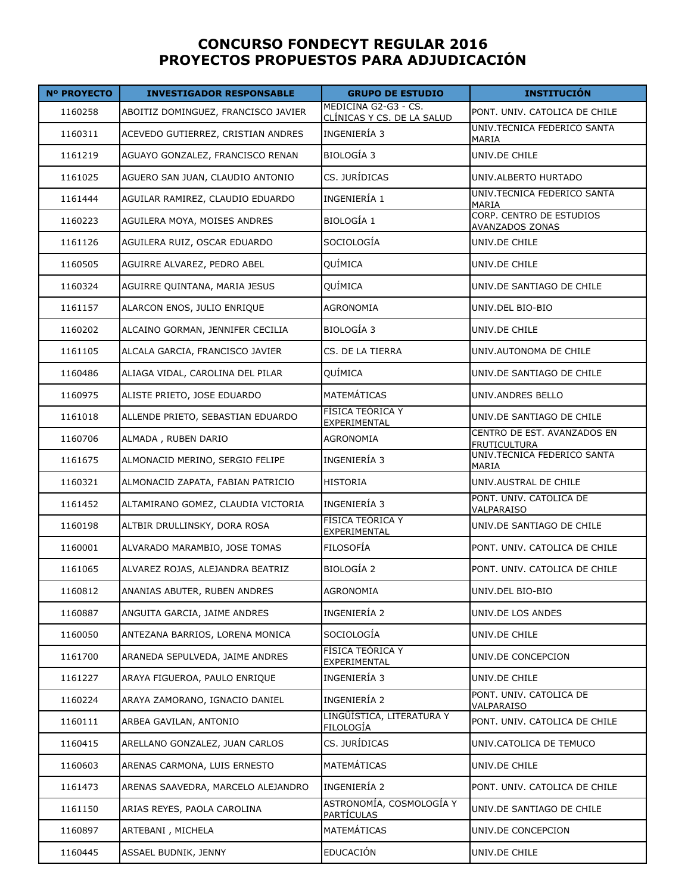## **CONCURSO FONDECYT REGULAR 2016 PROYECTOS PROPUESTOS PARA ADJUDICACIÓN**

| <b>Nº PROYECTO</b> | <b>INVESTIGADOR RESPONSABLE</b>     | <b>GRUPO DE ESTUDIO</b>                            | <b>INSTITUCIÓN</b>                                        |
|--------------------|-------------------------------------|----------------------------------------------------|-----------------------------------------------------------|
| 1160258            | ABOITIZ DOMINGUEZ, FRANCISCO JAVIER | MEDICINA G2-G3 - CS.<br>CLÍNICAS Y CS. DE LA SALUD | PONT. UNIV. CATOLICA DE CHILE                             |
| 1160311            | ACEVEDO GUTIERREZ, CRISTIAN ANDRES  | INGENIERÍA 3                                       | UNIV.TECNICA FEDERICO SANTA<br>MARIA                      |
| 1161219            | AGUAYO GONZALEZ, FRANCISCO RENAN    | <b>BIOLOGÍA 3</b>                                  | UNIV.DE CHILE                                             |
| 1161025            | AGUERO SAN JUAN, CLAUDIO ANTONIO    | CS. JURÍDICAS                                      | UNIV.ALBERTO HURTADO                                      |
| 1161444            | AGUILAR RAMIREZ, CLAUDIO EDUARDO    | INGENIERÍA 1                                       | UNIV.TECNICA FEDERICO SANTA<br>MARIA                      |
| 1160223            | AGUILERA MOYA, MOISES ANDRES        | <b>BIOLOGÍA 1</b>                                  | <b>CORP. CENTRO DE ESTUDIOS</b><br><b>AVANZADOS ZONAS</b> |
| 1161126            | AGUILERA RUIZ, OSCAR EDUARDO        | SOCIOLOGÍA                                         | UNIV.DE CHILE                                             |
| 1160505            | AGUIRRE ALVAREZ, PEDRO ABEL         | QUÍMICA                                            | UNIV.DE CHILE                                             |
| 1160324            | AGUIRRE QUINTANA, MARIA JESUS       | QUÍMICA                                            | UNIV.DE SANTIAGO DE CHILE                                 |
| 1161157            | ALARCON ENOS, JULIO ENRIQUE         | <b>AGRONOMIA</b>                                   | UNIV.DEL BIO-BIO                                          |
| 1160202            | ALCAINO GORMAN, JENNIFER CECILIA    | BIOLOGÍA 3                                         | UNIV.DE CHILE                                             |
| 1161105            | ALCALA GARCIA, FRANCISCO JAVIER     | CS. DE LA TIERRA                                   | UNIV.AUTONOMA DE CHILE                                    |
| 1160486            | ALIAGA VIDAL, CAROLINA DEL PILAR    | <b>QUÍMICA</b>                                     | UNIV.DE SANTIAGO DE CHILE                                 |
| 1160975            | ALISTE PRIETO, JOSE EDUARDO         | <b>MATEMÁTICAS</b>                                 | UNIV.ANDRES BELLO                                         |
| 1161018            | ALLENDE PRIETO, SEBASTIAN EDUARDO   | FÍSICA TEÓRICA Y<br>EXPERIMENTAL                   | UNIV.DE SANTIAGO DE CHILE                                 |
| 1160706            | ALMADA, RUBEN DARIO                 | <b>AGRONOMIA</b>                                   | CENTRO DE EST. AVANZADOS EN<br><b>FRUTICULTURA</b>        |
| 1161675            | ALMONACID MERINO, SERGIO FELIPE     | INGENIERÍA 3                                       | UNIV.TECNICA FEDERICO SANTA<br>MARIA                      |
| 1160321            | ALMONACID ZAPATA, FABIAN PATRICIO   | HISTORIA                                           | UNIV.AUSTRAL DE CHILE                                     |
| 1161452            | ALTAMIRANO GOMEZ, CLAUDIA VICTORIA  | INGENIERÍA 3                                       | PONT. UNIV. CATOLICA DE<br>VALPARAISO                     |
| 1160198            | ALTBIR DRULLINSKY, DORA ROSA        | FÍSICA TEÓRICA Y<br>EXPERIMENTAL                   | UNIV.DE SANTIAGO DE CHILE                                 |
| 1160001            | ALVARADO MARAMBIO, JOSE TOMAS       | <b>FILOSOFÍA</b>                                   | PONT. UNIV. CATOLICA DE CHILE                             |
| 1161065            | ALVAREZ ROJAS, ALEJANDRA BEATRIZ    | <b>BIOLOGÍA 2</b>                                  | PONT. UNIV. CATOLICA DE CHILE                             |
| 1160812            | ANANIAS ABUTER, RUBEN ANDRES        | AGRONOMIA                                          | UNIV.DEL BIO-BIO                                          |
| 1160887            | ANGUITA GARCIA, JAIME ANDRES        | INGENIERÍA 2                                       | UNIV.DE LOS ANDES                                         |
| 1160050            | ANTEZANA BARRIOS, LORENA MONICA     | SOCIOLOGÍA                                         | UNIV.DE CHILE                                             |
| 1161700            | ARANEDA SEPULVEDA, JAIME ANDRES     | FÍSICA TEÓRICA Y<br>EXPERIMENTAL                   | UNIV.DE CONCEPCION                                        |
| 1161227            | ARAYA FIGUEROA, PAULO ENRIQUE       | INGENIERÍA 3                                       | UNIV.DE CHILE                                             |
| 1160224            | ARAYA ZAMORANO, IGNACIO DANIEL      | INGENIERÍA 2                                       | PONT. UNIV. CATOLICA DE<br><b>VALPARAISO</b>              |
| 1160111            | ARBEA GAVILAN, ANTONIO              | LINGÜÍSTICA, LITERATURA Y<br><u>FILOLOGÍA</u>      | PONT. UNIV. CATOLICA DE CHILE                             |
| 1160415            | ARELLANO GONZALEZ, JUAN CARLOS      | CS. JURÍDICAS                                      | UNIV.CATOLICA DE TEMUCO                                   |
| 1160603            | ARENAS CARMONA, LUIS ERNESTO        | MATEMÁTICAS                                        | UNIV.DE CHILE                                             |
| 1161473            | ARENAS SAAVEDRA, MARCELO ALEJANDRO  | INGENIERÍA 2                                       | PONT. UNIV. CATOLICA DE CHILE                             |
| 1161150            | ARIAS REYES, PAOLA CAROLINA         | ASTRONOMÍA, COSMOLOGÍA Y<br><u>PARTÍCULAS</u>      | UNIV.DE SANTIAGO DE CHILE                                 |
| 1160897            | ARTEBANI, MICHELA                   | MATEMÁTICAS                                        | UNIV.DE CONCEPCION                                        |
| 1160445            | ASSAEL BUDNIK, JENNY                | <b>EDUCACIÓN</b>                                   | UNIV.DE CHILE                                             |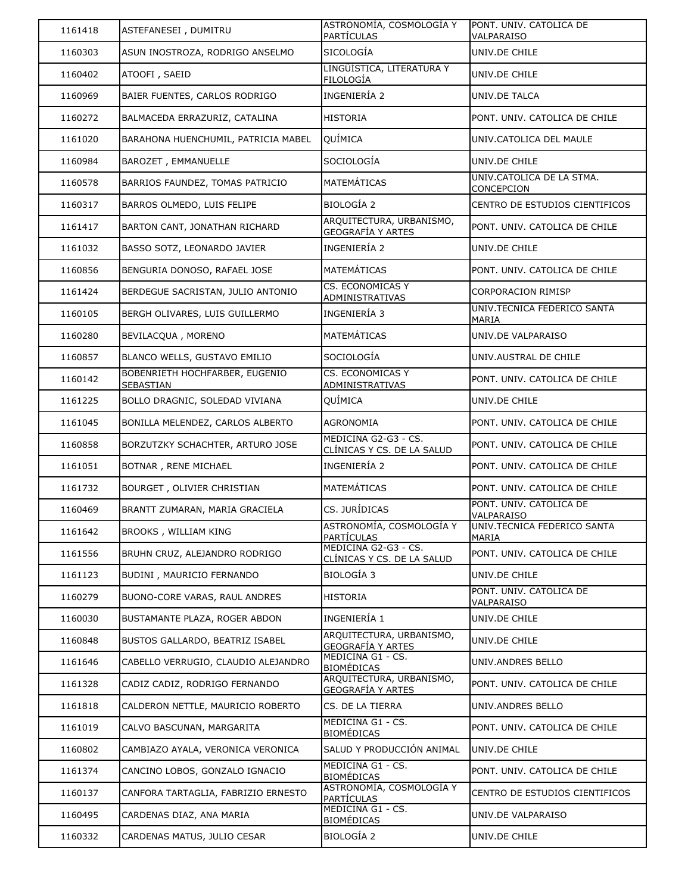| 1161418 | ASTEFANESEI, DUMITRU                        | ASTRONOMÍA, COSMOLOGÍA Y<br>PARTÍCULAS                    | PONT. UNIV. CATOLICA DE<br>VALPARAISO       |
|---------|---------------------------------------------|-----------------------------------------------------------|---------------------------------------------|
| 1160303 | ASUN INOSTROZA, RODRIGO ANSELMO             | <b>SICOLOGÍA</b>                                          | UNIV.DE CHILE                               |
| 1160402 | ATOOFI, SAEID                               | LINGÜÍSTICA, LITERATURA Y<br>FILOLOGÍA                    | UNIV.DE CHILE                               |
| 1160969 | BAIER FUENTES, CARLOS RODRIGO               | INGENIERÍA 2                                              | UNIV.DE TALCA                               |
| 1160272 | BALMACEDA ERRAZURIZ, CATALINA               | <b>HISTORIA</b>                                           | PONT. UNIV. CATOLICA DE CHILE               |
| 1161020 | BARAHONA HUENCHUMIL, PATRICIA MABEL         | QUÍMICA                                                   | UNIV.CATOLICA DEL MAULE                     |
| 1160984 | BAROZET, EMMANUELLE                         | SOCIOLOGÍA                                                | UNIV.DE CHILE                               |
| 1160578 | BARRIOS FAUNDEZ, TOMAS PATRICIO             | MATEMÁTICAS                                               | UNIV.CATOLICA DE LA STMA.<br>CONCEPCION     |
| 1160317 | BARROS OLMEDO, LUIS FELIPE                  | BIOLOGÍA 2                                                | CENTRO DE ESTUDIOS CIENTIFICOS              |
| 1161417 | BARTON CANT, JONATHAN RICHARD               | ARQUITECTURA, URBANISMO,<br><b>GEOGRAFÍA Y ARTES</b>      | PONT. UNIV. CATOLICA DE CHILE               |
| 1161032 | BASSO SOTZ, LEONARDO JAVIER                 | INGENIERÍA 2                                              | UNIV.DE CHILE                               |
| 1160856 | BENGURIA DONOSO, RAFAEL JOSE                | <b>MATEMÁTICAS</b>                                        | PONT. UNIV. CATOLICA DE CHILE               |
| 1161424 | BERDEGUE SACRISTAN, JULIO ANTONIO           | CS. ECONOMICAS Y<br>ADMINISTRATIVAS                       | CORPORACION RIMISP                          |
| 1160105 | BERGH OLIVARES, LUIS GUILLERMO              | INGENIERÍA 3                                              | UNIV.TECNICA FEDERICO SANTA<br><b>MARIA</b> |
| 1160280 | BEVILACQUA, MORENO                          | <b>MATEMÁTICAS</b>                                        | UNIV.DE VALPARAISO                          |
| 1160857 | BLANCO WELLS, GUSTAVO EMILIO                | SOCIOLOGÍA                                                | UNIV.AUSTRAL DE CHILE                       |
| 1160142 | BOBENRIETH HOCHFARBER, EUGENIO<br>SEBASTIAN | CS. ECONOMICAS Y<br>ADMINISTRATIVAS                       | PONT. UNIV. CATOLICA DE CHILE               |
| 1161225 | BOLLO DRAGNIC, SOLEDAD VIVIANA              | QUÍMICA                                                   | UNIV.DE CHILE                               |
| 1161045 | BONILLA MELENDEZ, CARLOS ALBERTO            | AGRONOMIA                                                 | PONT. UNIV. CATOLICA DE CHILE               |
| 1160858 | BORZUTZKY SCHACHTER, ARTURO JOSE            | MEDICINA G2-G3 - CS.<br><u>CLÍNICAS Y CS. DE LA SALUD</u> | PONT. UNIV. CATOLICA DE CHILE               |
| 1161051 | BOTNAR, RENE MICHAEL                        | INGENIERÍA 2                                              | PONT. UNIV. CATOLICA DE CHILE               |
| 1161732 | BOURGET, OLIVIER CHRISTIAN                  | <b>MATEMÁTICAS</b>                                        | PONT. UNIV. CATOLICA DE CHILE               |
| 1160469 | BRANTT ZUMARAN, MARIA GRACIELA              | CS. JURÍDICAS                                             | PONT. UNIV. CATOLICA DE<br>VALPARAISO       |
| 1161642 | BROOKS, WILLIAM KING                        | ASTRONOMÍA, COSMOLOGÍA Y<br><b>PARTÍCULAS</b>             | UNIV.TECNICA FEDERICO SANTA<br>MARIA        |
| 1161556 | BRUHN CRUZ, ALEJANDRO RODRIGO               | MEDICINA G2-G3 - CS.<br>CLÍNICAS Y CS. DE LA SALUD        | PONT. UNIV. CATOLICA DE CHILE               |
| 1161123 | BUDINI, MAURICIO FERNANDO                   | BIOLOGÍA 3                                                | UNIV.DE CHILE                               |
| 1160279 | BUONO-CORE VARAS, RAUL ANDRES               | <b>HISTORIA</b>                                           | PONT. UNIV. CATOLICA DE<br>VALPARAISO       |
| 1160030 | BUSTAMANTE PLAZA, ROGER ABDON               | INGENIERÍA 1                                              | UNIV.DE CHILE                               |
| 1160848 | BUSTOS GALLARDO, BEATRIZ ISABEL             | ARQUITECTURA, URBANISMO,<br>GEOGRAFÍA Y ARTES             | UNIV.DE CHILE                               |
| 1161646 | CABELLO VERRUGIO, CLAUDIO ALEJANDRO         | MEDICINA G1 - CS.<br><b>BIOMÉDICAS</b>                    | UNIV.ANDRES BELLO                           |
| 1161328 | CADIZ CADIZ, RODRIGO FERNANDO               | ARQUITECTURA, URBANISMO,<br><b>GEOGRAFÍA Y ARTES</b>      | PONT. UNIV. CATOLICA DE CHILE               |
| 1161818 | CALDERON NETTLE, MAURICIO ROBERTO           | CS. DE LA TIERRA                                          | UNIV.ANDRES BELLO                           |
| 1161019 | CALVO BASCUNAN, MARGARITA                   | MEDICINA G1 - CS.<br><b>BIOMÉDICAS</b>                    | PONT. UNIV. CATOLICA DE CHILE               |
| 1160802 | CAMBIAZO AYALA, VERONICA VERONICA           | SALUD Y PRODUCCIÓN ANIMAL                                 | UNIV.DE CHILE                               |
| 1161374 | CANCINO LOBOS, GONZALO IGNACIO              | MEDICINA G1 - CS.<br><b>BIOMÉDICAS</b>                    | PONT. UNIV. CATOLICA DE CHILE               |
| 1160137 | CANFORA TARTAGLIA, FABRIZIO ERNESTO         | ASTRONOMÍA, COSMOLOGÍA Y<br>PARTÍCULAS                    | CENTRO DE ESTUDIOS CIENTIFICOS              |
| 1160495 | CARDENAS DIAZ, ANA MARIA                    | MEDICINA G1 - CS.<br><b>BIOMÉDICAS</b>                    | UNIV.DE VALPARAISO                          |
| 1160332 | CARDENAS MATUS, JULIO CESAR                 | <b>BIOLOGÍA 2</b>                                         | UNIV.DE CHILE                               |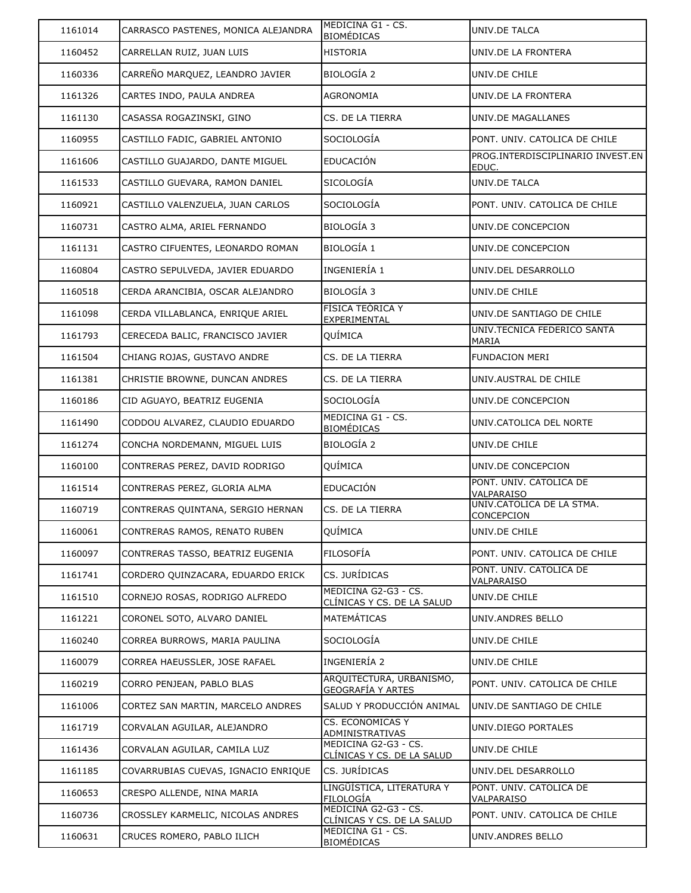| 1161014 | CARRASCO PASTENES, MONICA ALEJANDRA | MEDICINA G1 - CS.<br><b>BIOMÉDICAS</b>               | UNIV.DE TALCA                              |
|---------|-------------------------------------|------------------------------------------------------|--------------------------------------------|
| 1160452 | CARRELLAN RUIZ, JUAN LUIS           | <b>HISTORIA</b>                                      | UNIV.DE LA FRONTERA                        |
| 1160336 | CARREÑO MARQUEZ, LEANDRO JAVIER     | <b>BIOLOGÍA 2</b>                                    | UNIV.DE CHILE                              |
| 1161326 | CARTES INDO, PAULA ANDREA           | AGRONOMIA                                            | UNIV.DE LA FRONTERA                        |
| 1161130 | CASASSA ROGAZINSKI, GINO            | CS. DE LA TIERRA                                     | UNIV.DE MAGALLANES                         |
| 1160955 | CASTILLO FADIC, GABRIEL ANTONIO     | SOCIOLOGÍA                                           | PONT. UNIV. CATOLICA DE CHILE              |
| 1161606 | CASTILLO GUAJARDO, DANTE MIGUEL     | <b>EDUCACIÓN</b>                                     | PROG.INTERDISCIPLINARIO INVEST.EN<br>EDUC. |
| 1161533 | CASTILLO GUEVARA, RAMON DANIEL      | <b>SICOLOGÍA</b>                                     | UNIV.DE TALCA                              |
| 1160921 | CASTILLO VALENZUELA, JUAN CARLOS    | SOCIOLOGÍA                                           | PONT. UNIV. CATOLICA DE CHILE              |
| 1160731 | CASTRO ALMA, ARIEL FERNANDO         | BIOLOGÍA 3                                           | UNIV.DE CONCEPCION                         |
| 1161131 | CASTRO CIFUENTES, LEONARDO ROMAN    | BIOLOGÍA 1                                           | UNIV.DE CONCEPCION                         |
| 1160804 | CASTRO SEPULVEDA, JAVIER EDUARDO    | INGENIERÍA 1                                         | UNIV.DEL DESARROLLO                        |
| 1160518 | CERDA ARANCIBIA, OSCAR ALEJANDRO    | <b>BIOLOGÍA 3</b>                                    | UNIV.DE CHILE                              |
| 1161098 | CERDA VILLABLANCA, ENRIQUE ARIEL    | FÍSICA TEÓRICA Y<br>EXPERIMENTAL                     | UNIV.DE SANTIAGO DE CHILE                  |
| 1161793 | CERECEDA BALIC, FRANCISCO JAVIER    | QUÍMICA                                              | UNIV.TECNICA FEDERICO SANTA<br>MARIA       |
| 1161504 | CHIANG ROJAS, GUSTAVO ANDRE         | CS. DE LA TIERRA                                     | <b>FUNDACION MERI</b>                      |
| 1161381 | CHRISTIE BROWNE, DUNCAN ANDRES      | CS. DE LA TIERRA                                     | UNIV.AUSTRAL DE CHILE                      |
| 1160186 | CID AGUAYO, BEATRIZ EUGENIA         | SOCIOLOGÍA                                           | UNIV.DE CONCEPCION                         |
| 1161490 | CODDOU ALVAREZ, CLAUDIO EDUARDO     | MEDICINA G1 - CS.<br><b>BIOMÉDICAS</b>               | UNIV.CATOLICA DEL NORTE                    |
| 1161274 | CONCHA NORDEMANN, MIGUEL LUIS       | <b>BIOLOGÍA 2</b>                                    | UNIV.DE CHILE                              |
| 1160100 | CONTRERAS PEREZ, DAVID RODRIGO      | QUÍMICA                                              | UNIV.DE CONCEPCION                         |
| 1161514 | CONTRERAS PEREZ, GLORIA ALMA        | EDUCACIÓN                                            | PONT. UNIV. CATOLICA DE<br>VALPARAISO      |
| 1160719 | CONTRERAS QUINTANA, SERGIO HERNAN   | CS. DE LA TIERRA                                     | UNIV.CATOLICA DE LA STMA.<br>CONCEPCION    |
| 1160061 | CONTRERAS RAMOS, RENATO RUBEN       | QUÍMICA                                              | UNIV.DE CHILE                              |
| 1160097 | CONTRERAS TASSO, BEATRIZ EUGENIA    | <b>FILOSOFÍA</b>                                     | PONT. UNIV. CATOLICA DE CHILE              |
| 1161741 | CORDERO QUINZACARA, EDUARDO ERICK   | CS. JURÍDICAS                                        | PONT. UNIV. CATOLICA DE<br>VALPARAISO      |
| 1161510 | CORNEJO ROSAS, RODRIGO ALFREDO      | MEDICINA G2-G3 - CS.<br>CLÍNICAS Y CS. DE LA SALUD   | UNIV.DE CHILE                              |
| 1161221 | CORONEL SOTO, ALVARO DANIEL         | MATEMÁTICAS                                          | UNIV.ANDRES BELLO                          |
| 1160240 | CORREA BURROWS, MARIA PAULINA       | SOCIOLOGÍA                                           | UNIV.DE CHILE                              |
| 1160079 | CORREA HAEUSSLER, JOSE RAFAEL       | INGENIERÍA 2                                         | UNIV.DE CHILE                              |
| 1160219 | CORRO PENJEAN, PABLO BLAS           | ARQUITECTURA, URBANISMO,<br><b>GEOGRAFÍA Y ARTES</b> | PONT. UNIV. CATOLICA DE CHILE              |
| 1161006 | CORTEZ SAN MARTIN, MARCELO ANDRES   | SALUD Y PRODUCCIÓN ANIMAL                            | UNIV.DE SANTIAGO DE CHILE                  |
| 1161719 | CORVALAN AGUILAR, ALEJANDRO         | <b>CS. ECONOMICAS Y</b><br>ADMINISTRATIVAS           | UNIV.DIEGO PORTALES                        |
| 1161436 | CORVALAN AGUILAR, CAMILA LUZ        | MEDICINA G2-G3 - CS.<br>CLÍNICAS Y CS. DE LA SALUD   | UNIV.DE CHILE                              |
| 1161185 | COVARRUBIAS CUEVAS, IGNACIO ENRIQUE | CS. JURÍDICAS                                        | UNIV.DEL DESARROLLO                        |
| 1160653 | CRESPO ALLENDE, NINA MARIA          | LINGÜÍSTICA, LITERATURA Y<br><b>FILOLOGÍA</b>        | PONT. UNIV. CATOLICA DE<br>VALPARAISO      |
| 1160736 | CROSSLEY KARMELIC, NICOLAS ANDRES   | MEDICINA G2-G3 - CS.<br>CLÍNICAS Y CS. DE LA SALUD   | PONT. UNIV. CATOLICA DE CHILE              |
| 1160631 | CRUCES ROMERO, PABLO ILICH          | MEDICINA G1 - CS.<br><b>BIOMÉDICAS</b>               | UNIV.ANDRES BELLO                          |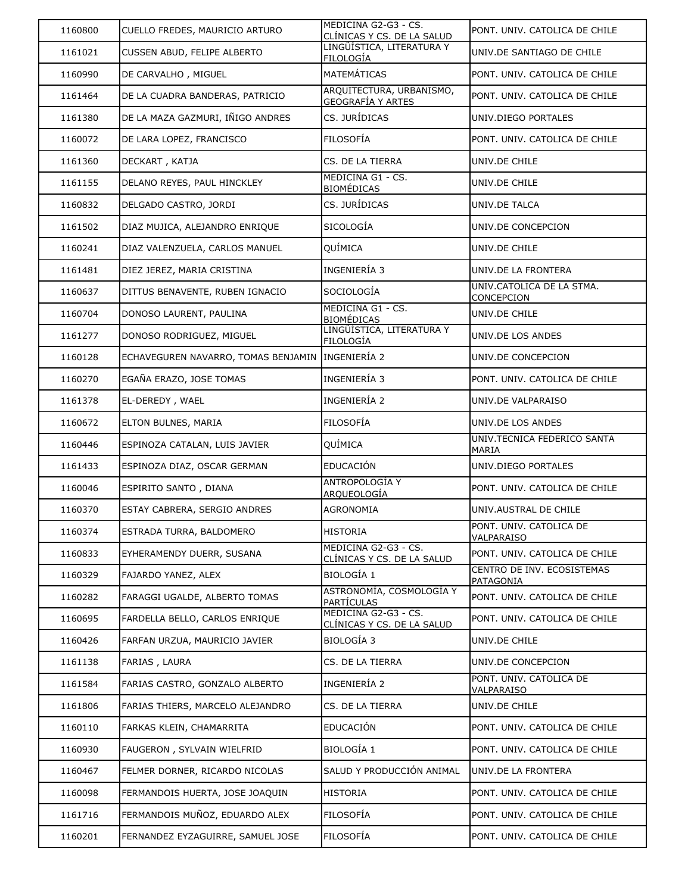| 1160800 | CUELLO FREDES, MAURICIO ARTURO      | MEDICINA G2-G3 - CS.<br>CLÍNICAS Y CS. DE LA SALUD        | PONT. UNIV. CATOLICA DE CHILE           |
|---------|-------------------------------------|-----------------------------------------------------------|-----------------------------------------|
| 1161021 | CUSSEN ABUD, FELIPE ALBERTO         | LINGÜÍSTICA, LITERATURA Y<br><b>FILOLOGÍA</b>             | UNIV.DE SANTIAGO DE CHILE               |
| 1160990 | DE CARVALHO, MIGUEL                 | <b>MATEMÁTICAS</b>                                        | PONT. UNIV. CATOLICA DE CHILE           |
| 1161464 | DE LA CUADRA BANDERAS, PATRICIO     | ARQUITECTURA, URBANISMO,<br><b>GEOGRAFÍA Y ARTES</b>      | PONT. UNIV. CATOLICA DE CHILE           |
| 1161380 | DE LA MAZA GAZMURI, IÑIGO ANDRES    | CS. JURÍDICAS                                             | UNIV.DIEGO PORTALES                     |
| 1160072 | DE LARA LOPEZ, FRANCISCO            | <b>FILOSOFÍA</b>                                          | PONT. UNIV. CATOLICA DE CHILE           |
| 1161360 | DECKART, KATJA                      | CS. DE LA TIERRA                                          | UNIV.DE CHILE                           |
| 1161155 | DELANO REYES, PAUL HINCKLEY         | MEDICINA G1 - CS.<br><b>BIOMÉDICAS</b>                    | UNIV.DE CHILE                           |
| 1160832 | DELGADO CASTRO, JORDI               | CS. JURÍDICAS                                             | UNIV.DE TALCA                           |
| 1161502 | DIAZ MUJICA, ALEJANDRO ENRIQUE      | <b>SICOLOGÍA</b>                                          | UNIV.DE CONCEPCION                      |
| 1160241 | DIAZ VALENZUELA, CARLOS MANUEL      | <b>QUÍMICA</b>                                            | UNIV.DE CHILE                           |
| 1161481 | DIEZ JEREZ, MARIA CRISTINA          | INGENIERÍA 3                                              | UNIV.DE LA FRONTERA                     |
| 1160637 | DITTUS BENAVENTE, RUBEN IGNACIO     | SOCIOLOGÍA                                                | UNIV.CATOLICA DE LA STMA.<br>CONCEPCION |
| 1160704 | DONOSO LAURENT, PAULINA             | MEDICINA G1 - CS.<br><b>BIOMÉDICAS</b>                    | UNIV.DE CHILE                           |
| 1161277 | DONOSO RODRIGUEZ, MIGUEL            | LINGÜÍSTICA, LITERATURA Y<br><b>FILOLOGÍA</b>             | UNIV.DE LOS ANDES                       |
| 1160128 | ECHAVEGUREN NAVARRO, TOMAS BENJAMIN | INGENIERÍA 2                                              | UNIV.DE CONCEPCION                      |
| 1160270 | EGAÑA ERAZO, JOSE TOMAS             | INGENIERÍA 3                                              | PONT. UNIV. CATOLICA DE CHILE           |
| 1161378 | EL-DEREDY, WAEL                     | INGENIERÍA 2                                              | UNIV.DE VALPARAISO                      |
| 1160672 | ELTON BULNES, MARIA                 | FILOSOFÍA                                                 | UNIV.DE LOS ANDES                       |
| 1160446 | ESPINOZA CATALAN, LUIS JAVIER       | QUÍMICA                                                   | UNIV.TECNICA FEDERICO SANTA<br>MARIA    |
| 1161433 | ESPINOZA DIAZ, OSCAR GERMAN         | <b>EDUCACIÓN</b>                                          | UNIV.DIEGO PORTALES                     |
| 1160046 | ESPIRITO SANTO, DIANA               | <b>ANTROPOLOGÍA Y</b><br><b>ARQUEOLOGÍA</b>               | PONT. UNIV. CATOLICA DE CHILE           |
| 1160370 | ESTAY CABRERA, SERGIO ANDRES        | <b>AGRONOMIA</b>                                          | UNIV.AUSTRAL DE CHILE                   |
| 1160374 | ESTRADA TURRA, BALDOMERO            | <b>HISTORIA</b>                                           | PONT. UNIV. CATOLICA DE<br>VALPARAISO   |
| 1160833 | EYHERAMENDY DUERR, SUSANA           | MEDICINA G2-G3 - CS.<br><u>CLÍNICAS Y CS. DE LA SALUD</u> | PONT. UNIV. CATOLICA DE CHILE           |
| 1160329 | FAJARDO YANEZ, ALEX                 | <b>BIOLOGÍA 1</b>                                         | CENTRO DE INV. ECOSISTEMAS<br>PATAGONIA |
| 1160282 | FARAGGI UGALDE, ALBERTO TOMAS       | ASTRONOMÍA, COSMOLOGÍA Y<br><b>PARTÍCULAS</b>             | PONT. UNIV. CATOLICA DE CHILE           |
| 1160695 | FARDELLA BELLO, CARLOS ENRIQUE      | MEDICINA G2-G3 - CS.<br>CLÍNICAS Y CS. DE LA SALUD        | PONT. UNIV. CATOLICA DE CHILE           |
| 1160426 | FARFAN URZUA, MAURICIO JAVIER       | BIOLOGÍA 3                                                | UNIV.DE CHILE                           |
| 1161138 | FARIAS, LAURA                       | CS. DE LA TIERRA                                          | UNIV.DE CONCEPCION                      |
| 1161584 | FARIAS CASTRO, GONZALO ALBERTO      | INGENIERÍA 2                                              | PONT. UNIV. CATOLICA DE<br>VALPARAISO   |
| 1161806 | FARIAS THIERS, MARCELO ALEJANDRO    | CS. DE LA TIERRA                                          | UNIV.DE CHILE                           |
| 1160110 | FARKAS KLEIN, CHAMARRITA            | <b>EDUCACIÓN</b>                                          | PONT. UNIV. CATOLICA DE CHILE           |
| 1160930 | FAUGERON, SYLVAIN WIELFRID          | BIOLOGÍA 1                                                | PONT. UNIV. CATOLICA DE CHILE           |
| 1160467 | FELMER DORNER, RICARDO NICOLAS      | SALUD Y PRODUCCIÓN ANIMAL                                 | UNIV.DE LA FRONTERA                     |
| 1160098 | FERMANDOIS HUERTA, JOSE JOAQUIN     | <b>HISTORIA</b>                                           | PONT. UNIV. CATOLICA DE CHILE           |
| 1161716 | FERMANDOIS MUÑOZ, EDUARDO ALEX      | <b>FILOSOFÍA</b>                                          | PONT. UNIV. CATOLICA DE CHILE           |
| 1160201 | FERNANDEZ EYZAGUIRRE, SAMUEL JOSE   | <b>FILOSOFÍA</b>                                          | PONT. UNIV. CATOLICA DE CHILE           |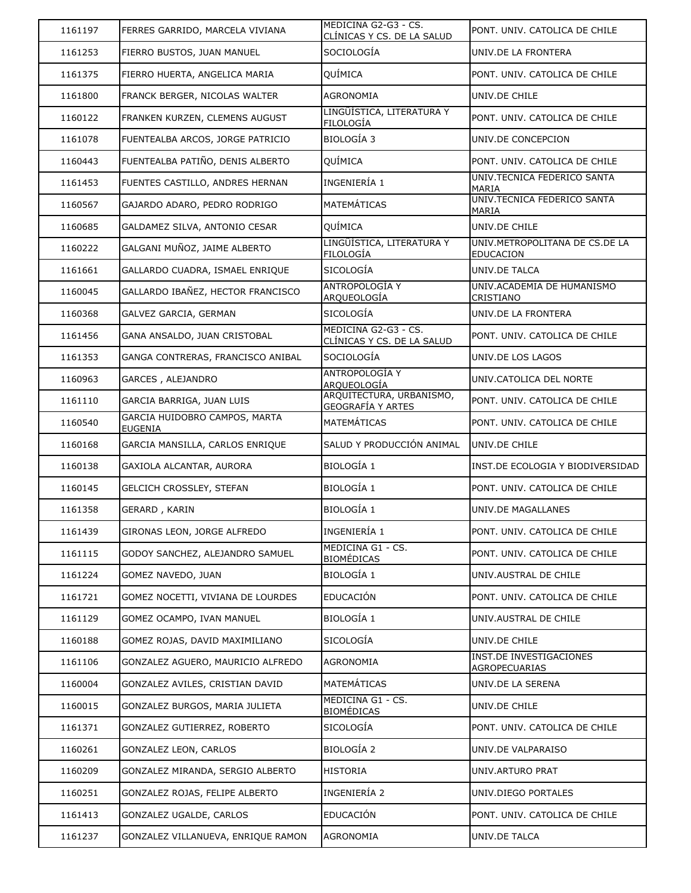| 1161197 | FERRES GARRIDO, MARCELA VIVIANA                 | MEDICINA G2-G3 - CS.<br>CLÍNICAS Y CS. DE LA SALUD   | PONT. UNIV. CATOLICA DE CHILE                      |
|---------|-------------------------------------------------|------------------------------------------------------|----------------------------------------------------|
| 1161253 | FIERRO BUSTOS, JUAN MANUEL                      | SOCIOLOGÍA                                           | UNIV.DE LA FRONTERA                                |
| 1161375 | FIERRO HUERTA, ANGELICA MARIA                   | QUÍMICA                                              | PONT. UNIV. CATOLICA DE CHILE                      |
| 1161800 | FRANCK BERGER, NICOLAS WALTER                   | <b>AGRONOMIA</b>                                     | UNIV.DE CHILE                                      |
| 1160122 | FRANKEN KURZEN, CLEMENS AUGUST                  | LINGÜÍSTICA, LITERATURA Y<br><b>FILOLOGÍA</b>        | PONT, UNIV, CATOLICA DE CHILE                      |
| 1161078 | FUENTEALBA ARCOS, JORGE PATRICIO                | <b>BIOLOGÍA 3</b>                                    | UNIV.DE CONCEPCION                                 |
| 1160443 | FUENTEALBA PATIÑO, DENIS ALBERTO                | QUÍMICA                                              | PONT. UNIV. CATOLICA DE CHILE                      |
| 1161453 | FUENTES CASTILLO, ANDRES HERNAN                 | INGENIERÍA 1                                         | UNIV.TECNICA FEDERICO SANTA<br>MARIA               |
| 1160567 | GAJARDO ADARO, PEDRO RODRIGO                    | <b>MATEMÁTICAS</b>                                   | UNIV.TECNICA FEDERICO SANTA<br>MARIA               |
| 1160685 | GALDAMEZ SILVA, ANTONIO CESAR                   | QUÍMICA                                              | UNIV.DE CHILE                                      |
| 1160222 | GALGANI MUÑOZ, JAIME ALBERTO                    | LINGÜÍSTICA, LITERATURA Y<br><b>FILOLOGÍA</b>        | UNIV.METROPOLITANA DE CS.DE LA<br><b>EDUCACION</b> |
| 1161661 | GALLARDO CUADRA, ISMAEL ENRIQUE                 | <b>SICOLOGÍA</b>                                     | UNIV.DE TALCA                                      |
| 1160045 | GALLARDO IBAÑEZ, HECTOR FRANCISCO               | <b>ANTROPOLOGÍA Y</b><br>ARQUEOLOGÍA                 | UNIV.ACADEMIA DE HUMANISMO<br>CRISTIANO            |
| 1160368 | GALVEZ GARCIA, GERMAN                           | <b>SICOLOGÍA</b>                                     | UNIV.DE LA FRONTERA                                |
| 1161456 | GANA ANSALDO, JUAN CRISTOBAL                    | MEDICINA G2-G3 - CS.<br>CLÍNICAS Y CS. DE LA SALUD   | PONT. UNIV. CATOLICA DE CHILE                      |
| 1161353 | GANGA CONTRERAS, FRANCISCO ANIBAL               | SOCIOLOGÍA                                           | UNIV.DE LOS LAGOS                                  |
| 1160963 | GARCES, ALEJANDRO                               | <b>ANTROPOLOGÍA Y</b><br>ARQUEOLOGÍA                 | UNIV.CATOLICA DEL NORTE                            |
| 1161110 | GARCIA BARRIGA, JUAN LUIS                       | ARQUITECTURA, URBANISMO,<br><b>GEOGRAFÍA Y ARTES</b> | PONT. UNIV. CATOLICA DE CHILE                      |
| 1160540 | GARCIA HUIDOBRO CAMPOS, MARTA<br><b>EUGENIA</b> | <b>MATEMÁTICAS</b>                                   | PONT. UNIV. CATOLICA DE CHILE                      |
|         |                                                 |                                                      |                                                    |
| 1160168 | GARCIA MANSILLA, CARLOS ENRIQUE                 | SALUD Y PRODUCCIÓN ANIMAL                            | UNIV.DE CHILE                                      |
| 1160138 | GAXIOLA ALCANTAR, AURORA                        | <b>BIOLOGÍA 1</b>                                    | INST.DE ECOLOGIA Y BIODIVERSIDAD                   |
| 1160145 | GELCICH CROSSLEY, STEFAN                        | <b>BIOLOGÍA 1</b>                                    | PONT. UNIV. CATOLICA DE CHILE                      |
| 1161358 | GERARD, KARIN                                   | <b>BIOLOGÍA 1</b>                                    | UNIV.DE MAGALLANES                                 |
| 1161439 | GIRONAS LEON, JORGE ALFREDO                     | INGENIERÍA 1                                         | PONT. UNIV. CATOLICA DE CHILE                      |
| 1161115 | GODOY SANCHEZ, ALEJANDRO SAMUEL                 | MEDICINA G1 - CS.<br><b>BIOMÉDICAS</b>               | PONT, UNIV, CATOLICA DE CHILE                      |
| 1161224 | GOMEZ NAVEDO, JUAN                              | <b>BIOLOGÍA 1</b>                                    | UNIV.AUSTRAL DE CHILE                              |
| 1161721 | GOMEZ NOCETTI, VIVIANA DE LOURDES               | <b>EDUCACIÓN</b>                                     | PONT. UNIV. CATOLICA DE CHILE                      |
| 1161129 | GOMEZ OCAMPO, IVAN MANUEL                       | BIOLOGÍA 1                                           | UNIV.AUSTRAL DE CHILE                              |
| 1160188 | GOMEZ ROJAS, DAVID MAXIMILIANO                  | SICOLOGÍA                                            | UNIV.DE CHILE                                      |
| 1161106 | GONZALEZ AGUERO, MAURICIO ALFREDO               | AGRONOMIA                                            | INST.DE INVESTIGACIONES<br><b>AGROPECUARIAS</b>    |
| 1160004 | GONZALEZ AVILES, CRISTIAN DAVID                 | <b>MATEMÁTICAS</b>                                   | UNIV.DE LA SERENA                                  |
| 1160015 | GONZALEZ BURGOS, MARIA JULIETA                  | MEDICINA G1 - CS.                                    | UNIV.DE CHILE                                      |
| 1161371 | GONZALEZ GUTIERREZ, ROBERTO                     | <b>BIOMÉDICAS</b><br>SICOLOGÍA                       | PONT. UNIV. CATOLICA DE CHILE                      |
| 1160261 | GONZALEZ LEON, CARLOS                           | BIOLOGÍA 2                                           | UNIV.DE VALPARAISO                                 |
| 1160209 | GONZALEZ MIRANDA, SERGIO ALBERTO                | <b>HISTORIA</b>                                      | UNIV.ARTURO PRAT                                   |
| 1160251 | GONZALEZ ROJAS, FELIPE ALBERTO                  | INGENIERÍA 2                                         | UNIV.DIEGO PORTALES                                |
| 1161413 | GONZALEZ UGALDE, CARLOS                         | <b>EDUCACIÓN</b>                                     | PONT. UNIV. CATOLICA DE CHILE                      |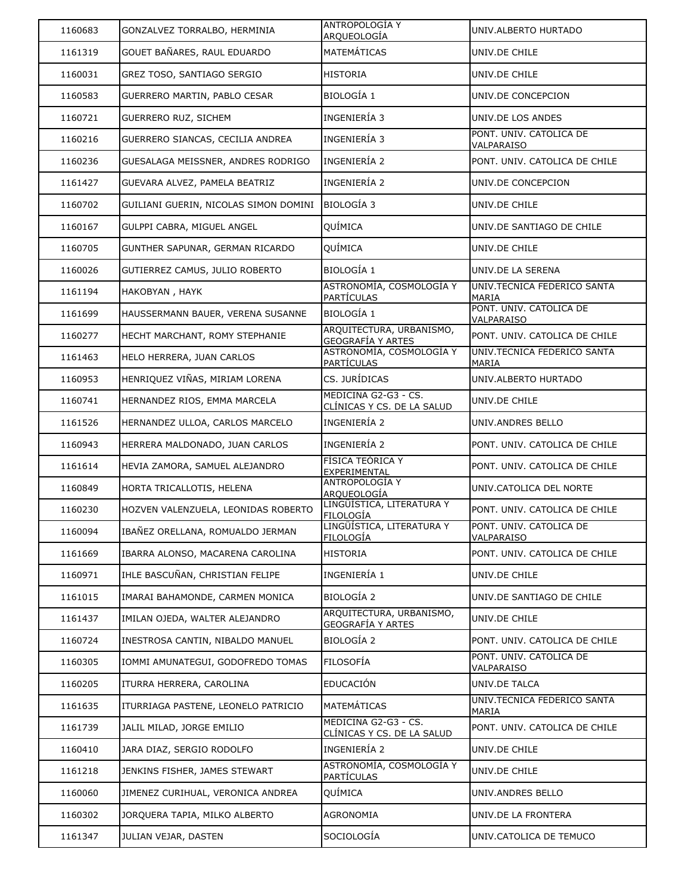| 1160683 | GONZALVEZ TORRALBO, HERMINIA          | <b>ANTROPOLOGIA Y</b><br><u>ARQUEOLOGÍA</u>               | UNIV.ALBERTO HURTADO                        |
|---------|---------------------------------------|-----------------------------------------------------------|---------------------------------------------|
| 1161319 | GOUET BAÑARES, RAUL EDUARDO           | <b>MATEMÁTICAS</b>                                        | UNIV.DE CHILE                               |
| 1160031 | GREZ TOSO, SANTIAGO SERGIO            | <b>HISTORIA</b>                                           | UNIV.DE CHILE                               |
| 1160583 | GUERRERO MARTIN, PABLO CESAR          | BIOLOGÍA 1                                                | UNIV.DE CONCEPCION                          |
| 1160721 | GUERRERO RUZ, SICHEM                  | INGENIERÍA 3                                              | UNIV.DE LOS ANDES                           |
| 1160216 | GUERRERO SIANCAS, CECILIA ANDREA      | INGENIERÍA 3                                              | PONT. UNIV. CATOLICA DE<br>VALPARAISO       |
| 1160236 | GUESALAGA MEISSNER, ANDRES RODRIGO    | INGENIERÍA 2                                              | PONT. UNIV. CATOLICA DE CHILE               |
| 1161427 | GUEVARA ALVEZ, PAMELA BEATRIZ         | INGENIERÍA 2                                              | UNIV.DE CONCEPCION                          |
| 1160702 | GUILIANI GUERIN, NICOLAS SIMON DOMINI | BIOLOGÍA 3                                                | UNIV.DE CHILE                               |
| 1160167 | GULPPI CABRA, MIGUEL ANGEL            | QUÍMICA                                                   | UNIV.DE SANTIAGO DE CHILE                   |
| 1160705 | GUNTHER SAPUNAR, GERMAN RICARDO       | QUÍMICA                                                   | UNIV.DE CHILE                               |
| 1160026 | GUTIERREZ CAMUS, JULIO ROBERTO        | <b>BIOLOGÍA 1</b>                                         | UNIV.DE LA SERENA                           |
| 1161194 | HAKOBYAN, HAYK                        | ASTRONOMÍA, COSMOLOGÍA Y<br><b>PARTÍCULAS</b>             | UNIV.TECNICA FEDERICO SANTA<br><b>MARIA</b> |
| 1161699 | HAUSSERMANN BAUER, VERENA SUSANNE     | BIOLOGÍA 1                                                | PONT. UNIV. CATOLICA DE<br>VALPARAISO       |
| 1160277 | HECHT MARCHANT, ROMY STEPHANIE        | ARQUITECTURA, URBANISMO,<br>GEOGRAFÍA Y ARTES             | PONT. UNIV. CATOLICA DE CHILE               |
| 1161463 | HELO HERRERA, JUAN CARLOS             | ASTRONOMÍA, COSMOLOGÍA Y<br><b>PARTÍCULAS</b>             | UNIV.TECNICA FEDERICO SANTA<br><b>MARIA</b> |
| 1160953 | HENRIQUEZ VIÑAS, MIRIAM LORENA        | CS. JURÍDICAS                                             | UNIV.ALBERTO HURTADO                        |
| 1160741 | HERNANDEZ RIOS, EMMA MARCELA          | MEDICINA G2-G3 - CS.<br><u>CLÍNICAS Y CS. DE LA SALUD</u> | UNIV.DE CHILE                               |
| 1161526 | HERNANDEZ ULLOA, CARLOS MARCELO       | INGENIERÍA 2                                              | UNIV.ANDRES BELLO                           |
| 1160943 | HERRERA MALDONADO, JUAN CARLOS        | INGENIERÍA 2                                              | PONT. UNIV. CATOLICA DE CHILE               |
| 1161614 | HEVIA ZAMORA, SAMUEL ALEJANDRO        | FÍSICA TEÓRICA Y<br>EXPERIMENTAL                          | PONT. UNIV. CATOLICA DE CHILE               |
| 1160849 | HORTA TRICALLOTIS, HELENA             | ANTROPOLOGÍA Y<br>ARQUEOLOGÍA                             | UNIV.CATOLICA DEL NORTE                     |
| 1160230 | HOZVEN VALENZUELA, LEONIDAS ROBERTO   | LINGÜÍSTICA, LITERATURA Y<br>FILOLOGÍA                    | PONT. UNIV. CATOLICA DE CHILE               |
| 1160094 | IBAÑEZ ORELLANA, ROMUALDO JERMAN      | LINGÜÍSTICA, LITERATURA Y<br><b>FILOLOGÍA</b>             | PONT, UNIV, CATOLICA DE<br>VALPARAISO       |
| 1161669 | IBARRA ALONSO, MACARENA CAROLINA      | HISTORIA                                                  | PONT. UNIV. CATOLICA DE CHILE               |
| 1160971 | IHLE BASCUÑAN, CHRISTIAN FELIPE       | INGENIERÍA 1                                              | UNIV.DE CHILE                               |
| 1161015 | IMARAI BAHAMONDE, CARMEN MONICA       | <b>BIOLOGÍA 2</b>                                         | UNIV.DE SANTIAGO DE CHILE                   |
| 1161437 | IMILAN OJEDA, WALTER ALEJANDRO        | ARQUITECTURA, URBANISMO,<br><u>GEOGRAFÍA Y ARTES</u>      | UNIV.DE CHILE                               |
| 1160724 | INESTROSA CANTIN, NIBALDO MANUEL      | <b>BIOLOGÍA 2</b>                                         | PONT. UNIV. CATOLICA DE CHILE               |
| 1160305 | IOMMI AMUNATEGUI, GODOFREDO TOMAS     | <b>FILOSOFÍA</b>                                          | PONT. UNIV. CATOLICA DE<br>VALPARAISO       |
| 1160205 | ITURRA HERRERA, CAROLINA              | EDUCACIÓN                                                 | UNIV.DE TALCA                               |
| 1161635 | ITURRIAGA PASTENE, LEONELO PATRICIO   | MATEMÁTICAS                                               | UNIV.TECNICA FEDERICO SANTA<br>MARIA        |
| 1161739 | JALIL MILAD, JORGE EMILIO             | MEDICINA G2-G3 - CS.<br><u>CLÍNICAS Y CS. DE LA SALUD</u> | PONT. UNIV. CATOLICA DE CHILE               |
| 1160410 | JARA DIAZ, SERGIO RODOLFO             | INGENIERÍA 2                                              | UNIV.DE CHILE                               |
| 1161218 | JENKINS FISHER, JAMES STEWART         | ASTRONOMÍA, COSMOLOGÍA Y<br><b>PARTÍCULAS</b>             | UNIV.DE CHILE                               |
| 1160060 | JIMENEZ CURIHUAL, VERONICA ANDREA     | QUÍMICA                                                   | UNIV.ANDRES BELLO                           |
| 1160302 | JORQUERA TAPIA, MILKO ALBERTO         | AGRONOMIA                                                 | UNIV.DE LA FRONTERA                         |
| 1161347 | JULIAN VEJAR, DASTEN                  | SOCIOLOGÍA                                                | UNIV.CATOLICA DE TEMUCO                     |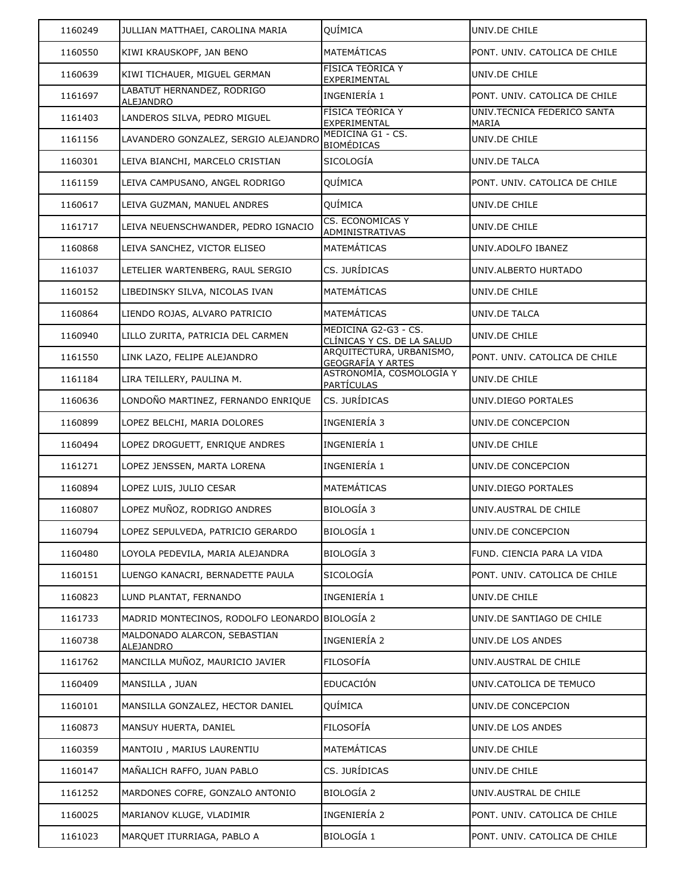| 1160249 | JULLIAN MATTHAEI, CAROLINA MARIA                 | QUÍMICA                                              | UNIV.DE CHILE                        |
|---------|--------------------------------------------------|------------------------------------------------------|--------------------------------------|
| 1160550 | KIWI KRAUSKOPF, JAN BENO                         | MATEMÁTICAS                                          | PONT. UNIV. CATOLICA DE CHILE        |
| 1160639 | KIWI TICHAUER, MIGUEL GERMAN                     | FÍSICA TEÓRICA Y<br>EXPERIMENTAL                     | UNIV.DE CHILE                        |
| 1161697 | LABATUT HERNANDEZ, RODRIGO<br>ALEJANDRO          | INGENIERÍA 1                                         | PONT. UNIV. CATOLICA DE CHILE        |
| 1161403 | LANDEROS SILVA, PEDRO MIGUEL                     | FÍSICA TEÓRICA Y<br>EXPERIMENTAL                     | UNIV.TECNICA FEDERICO SANTA<br>MARIA |
| 1161156 | LAVANDERO GONZALEZ, SERGIO ALEJANDRO             | MEDICINA G1 - CS.<br><b>BIOMÉDICAS</b>               | UNIV.DE CHILE                        |
| 1160301 | LEIVA BIANCHI, MARCELO CRISTIAN                  | SICOLOGÍA                                            | UNIV.DE TALCA                        |
| 1161159 | LEIVA CAMPUSANO, ANGEL RODRIGO                   | QUÍMICA                                              | PONT. UNIV. CATOLICA DE CHILE        |
| 1160617 | LEIVA GUZMAN, MANUEL ANDRES                      | QUÍMICA                                              | UNIV.DE CHILE                        |
| 1161717 | LEIVA NEUENSCHWANDER, PEDRO IGNACIO              | <b>CS. ECONOMICAS Y</b><br>ADMINISTRATIVAS           | UNIV.DE CHILE                        |
| 1160868 | LEIVA SANCHEZ, VICTOR ELISEO                     | <b>MATEMÁTICAS</b>                                   | UNIV.ADOLFO IBANEZ                   |
| 1161037 | LETELIER WARTENBERG, RAUL SERGIO                 | CS. JURÍDICAS                                        | UNIV.ALBERTO HURTADO                 |
| 1160152 | LIBEDINSKY SILVA, NICOLAS IVAN                   | MATEMÁTICAS                                          | UNIV.DE CHILE                        |
| 1160864 | LIENDO ROJAS, ALVARO PATRICIO                    | <b>MATEMÁTICAS</b>                                   | UNIV.DE TALCA                        |
| 1160940 | LILLO ZURITA, PATRICIA DEL CARMEN                | MEDICINA G2-G3 - CS.<br>CLÍNICAS Y CS. DE LA SALUD   | UNIV.DE CHILE                        |
| 1161550 | LINK LAZO, FELIPE ALEJANDRO                      | ARQUITECTURA, URBANISMO,<br><b>GEOGRAFÍA Y ARTES</b> | PONT. UNIV. CATOLICA DE CHILE        |
| 1161184 | LIRA TEILLERY, PAULINA M.                        | ASTRONOMÍA, COSMOLOGÍA Y<br>PARTÍCULAS               | UNIV.DE CHILE                        |
| 1160636 | LONDOÑO MARTINEZ, FERNANDO ENRIQUE               | CS. JURÍDICAS                                        | UNIV.DIEGO PORTALES                  |
| 1160899 | LOPEZ BELCHI, MARIA DOLORES                      | INGENIERÍA 3                                         | UNIV.DE CONCEPCION                   |
| 1160494 | LOPEZ DROGUETT, ENRIQUE ANDRES                   | INGENIERÍA 1                                         | UNIV.DE CHILE                        |
| 1161271 | LOPEZ JENSSEN, MARTA LORENA                      | INGENIERÍA 1                                         | UNIV.DE CONCEPCION                   |
| 1160894 | LOPEZ LUIS, JULIO CESAR                          | <b>MATEMÁTICAS</b>                                   | UNIV.DIEGO PORTALES                  |
| 1160807 | LOPEZ MUÑOZ, RODRIGO ANDRES                      | <b>BIOLOGÍA 3</b>                                    | UNIV.AUSTRAL DE CHILE                |
| 1160794 | LOPEZ SEPULVEDA, PATRICIO GERARDO                | <b>BIOLOGÍA 1</b>                                    | UNIV.DE CONCEPCION                   |
| 1160480 | LOYOLA PEDEVILA, MARIA ALEJANDRA                 | <b>BIOLOGÍA 3</b>                                    | FUND. CIENCIA PARA LA VIDA           |
| 1160151 | LUENGO KANACRI, BERNADETTE PAULA                 | SICOLOGÍA                                            | PONT. UNIV. CATOLICA DE CHILE        |
| 1160823 | LUND PLANTAT, FERNANDO                           | INGENIERÍA 1                                         | UNIV.DE CHILE                        |
| 1161733 | MADRID MONTECINOS, RODOLFO LEONARDO BIOLOGÍA 2   |                                                      | UNIV.DE SANTIAGO DE CHILE            |
| 1160738 | MALDONADO ALARCON, SEBASTIAN<br><b>ALEJANDRO</b> | INGENIERÍA 2                                         | UNIV.DE LOS ANDES                    |
| 1161762 | MANCILLA MUÑOZ, MAURICIO JAVIER                  | <b>FILOSOFÍA</b>                                     | UNIV.AUSTRAL DE CHILE                |
| 1160409 | MANSILLA, JUAN                                   | <b>EDUCACIÓN</b>                                     | UNIV.CATOLICA DE TEMUCO              |
| 1160101 | MANSILLA GONZALEZ, HECTOR DANIEL                 | QUÍMICA                                              | UNIV.DE CONCEPCION                   |
| 1160873 | MANSUY HUERTA, DANIEL                            | FILOSOFÍA                                            | UNIV.DE LOS ANDES                    |
| 1160359 | MANTOIU, MARIUS LAURENTIU                        | MATEMÁTICAS                                          | UNIV.DE CHILE                        |
| 1160147 | MAÑALICH RAFFO, JUAN PABLO                       | CS. JURÍDICAS                                        | UNIV.DE CHILE                        |
| 1161252 | MARDONES COFRE, GONZALO ANTONIO                  | <b>BIOLOGÍA 2</b>                                    | UNIV.AUSTRAL DE CHILE                |
| 1160025 | MARIANOV KLUGE, VLADIMIR                         | INGENIERÍA 2                                         | PONT. UNIV. CATOLICA DE CHILE        |
| 1161023 | MARQUET ITURRIAGA, PABLO A                       | BIOLOGÍA 1                                           | PONT. UNIV. CATOLICA DE CHILE        |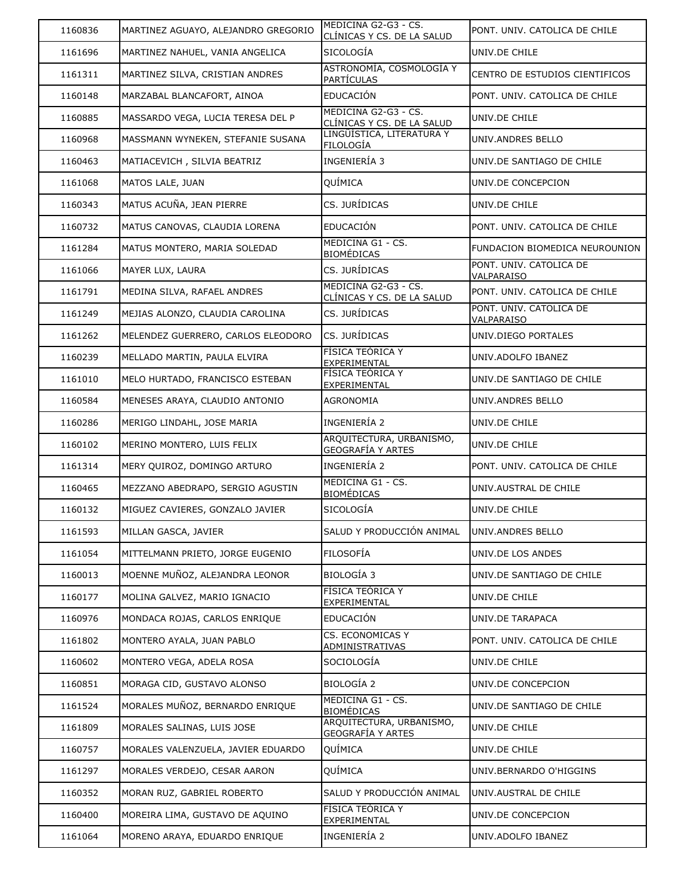| 1160836 | MARTINEZ AGUAYO, ALEJANDRO GREGORIO | MEDICINA G2-G3 - CS.<br>CLÍNICAS Y CS. DE LA SALUD   | PONT. UNIV. CATOLICA DE CHILE                |
|---------|-------------------------------------|------------------------------------------------------|----------------------------------------------|
| 1161696 | MARTINEZ NAHUEL, VANIA ANGELICA     | <b>SICOLOGÍA</b>                                     | UNIV.DE CHILE                                |
| 1161311 | MARTINEZ SILVA, CRISTIAN ANDRES     | ASTRONOMÍA, COSMOLOGÍA Y<br><b>PARTÍCULAS</b>        | CENTRO DE ESTUDIOS CIENTIFICOS               |
| 1160148 | MARZABAL BLANCAFORT, AINOA          | <b>EDUCACIÓN</b>                                     | PONT. UNIV. CATOLICA DE CHILE                |
| 1160885 | MASSARDO VEGA, LUCIA TERESA DEL P   | MEDICINA G2-G3 - CS.<br>CLÍNICAS Y CS. DE LA SALUD   | UNIV.DE CHILE                                |
| 1160968 | MASSMANN WYNEKEN, STEFANIE SUSANA   | LINGÜÍSTICA, LITERATURA Y<br>FILOLOGÍA               | UNIV.ANDRES BELLO                            |
| 1160463 | MATIACEVICH, SILVIA BEATRIZ         | INGENIERÍA 3                                         | UNIV.DE SANTIAGO DE CHILE                    |
| 1161068 | MATOS LALE, JUAN                    | QUÍMICA                                              | UNIV.DE CONCEPCION                           |
| 1160343 | MATUS ACUÑA, JEAN PIERRE            | CS. JURÍDICAS                                        | UNIV.DE CHILE                                |
| 1160732 | MATUS CANOVAS, CLAUDIA LORENA       | <b>EDUCACIÓN</b>                                     | PONT. UNIV. CATOLICA DE CHILE                |
| 1161284 | MATUS MONTERO, MARIA SOLEDAD        | MEDICINA G1 - CS.<br><b>BIOMÉDICAS</b>               | FUNDACION BIOMEDICA NEUROUNION               |
| 1161066 | MAYER LUX, LAURA                    | CS. JURÍDICAS                                        | PONT. UNIV. CATOLICA DE<br>VALPARAISO        |
| 1161791 | MEDINA SILVA, RAFAEL ANDRES         | MEDICINA G2-G3 - CS.<br>CLÍNICAS Y CS. DE LA SALUD   | PONT. UNIV. CATOLICA DE CHILE                |
| 1161249 | MEJIAS ALONZO, CLAUDIA CAROLINA     | CS. JURÍDICAS                                        | PONT. UNIV. CATOLICA DE<br><b>VALPARAISO</b> |
| 1161262 | MELENDEZ GUERRERO, CARLOS ELEODORO  | CS. JURÍDICAS                                        | UNIV.DIEGO PORTALES                          |
| 1160239 | MELLADO MARTIN, PAULA ELVIRA        | FÍSICA TEÓRICA Y<br>EXPERIMENTAL                     | UNIV.ADOLFO IBANEZ                           |
| 1161010 | MELO HURTADO, FRANCISCO ESTEBAN     | FÍSICA TEÓRICA Y<br>EXPERIMENTAL                     | UNIV.DE SANTIAGO DE CHILE                    |
| 1160584 | MENESES ARAYA, CLAUDIO ANTONIO      | AGRONOMIA                                            | UNIV.ANDRES BELLO                            |
| 1160286 | MERIGO LINDAHL, JOSE MARIA          | INGENIERÍA 2                                         | UNIV.DE CHILE                                |
| 1160102 | MERINO MONTERO, LUIS FELIX          | ARQUITECTURA, URBANISMO,<br><b>GEOGRAFÍA Y ARTES</b> | UNIV.DE CHILE                                |
| 1161314 | MERY QUIROZ, DOMINGO ARTURO         | INGENIERÍA 2                                         | PONT. UNIV. CATOLICA DE CHILE                |
| 1160465 | MEZZANO ABEDRAPO, SERGIO AGUSTIN    | MEDICINA G1 - CS.<br><b>BIOMÉDICAS</b>               | UNIV.AUSTRAL DE CHILE                        |
| 1160132 | MIGUEZ CAVIERES, GONZALO JAVIER     | SICOLOGÍA                                            | UNIV.DE CHILE                                |
| 1161593 | MILLAN GASCA, JAVIER                | SALUD Y PRODUCCIÓN ANIMAL                            | UNIV.ANDRES BELLO                            |
| 1161054 | MITTELMANN PRIETO, JORGE EUGENIO    | FILOSOFÍA                                            | UNIV.DE LOS ANDES                            |
| 1160013 | MOENNE MUÑOZ, ALEJANDRA LEONOR      | <b>BIOLOGÍA 3</b>                                    | UNIV.DE SANTIAGO DE CHILE                    |
| 1160177 | MOLINA GALVEZ, MARIO IGNACIO        | FÍSICA TEÓRICA Y<br>EXPERIMENTAL                     | UNIV.DE CHILE                                |
| 1160976 | MONDACA ROJAS, CARLOS ENRIQUE       | EDUCACIÓN                                            | UNIV.DE TARAPACA                             |
| 1161802 | MONTERO AYALA, JUAN PABLO           | CS. ECONOMICAS Y<br>ADMINISTRATIVAS                  | PONT. UNIV. CATOLICA DE CHILE                |
| 1160602 | MONTERO VEGA, ADELA ROSA            | SOCIOLOGÍA                                           | UNIV.DE CHILE                                |
| 1160851 | MORAGA CID, GUSTAVO ALONSO          | <b>BIOLOGÍA 2</b>                                    | UNIV.DE CONCEPCION                           |
| 1161524 | MORALES MUÑOZ, BERNARDO ENRIQUE     | MEDICINA G1 - CS.<br><b>BIOMÉDICAS</b>               | UNIV.DE SANTIAGO DE CHILE                    |
| 1161809 | MORALES SALINAS, LUIS JOSE          | ARQUITECTURA, URBANISMO,<br><b>GEOGRAFÍA Y ARTES</b> | UNIV.DE CHILE                                |
| 1160757 | MORALES VALENZUELA, JAVIER EDUARDO  | QUÍMICA                                              | UNIV.DE CHILE                                |
| 1161297 | MORALES VERDEJO, CESAR AARON        | QUÍMICA                                              | UNIV.BERNARDO O'HIGGINS                      |
| 1160352 | MORAN RUZ, GABRIEL ROBERTO          | SALUD Y PRODUCCIÓN ANIMAL                            | UNIV.AUSTRAL DE CHILE                        |
| 1160400 | MOREIRA LIMA, GUSTAVO DE AQUINO     | FÍSICA TEÓRICA Y<br>EXPERIMENTAL                     | UNIV.DE CONCEPCION                           |
| 1161064 | MORENO ARAYA, EDUARDO ENRIQUE       | INGENIERÍA 2                                         | UNIV.ADOLFO IBANEZ                           |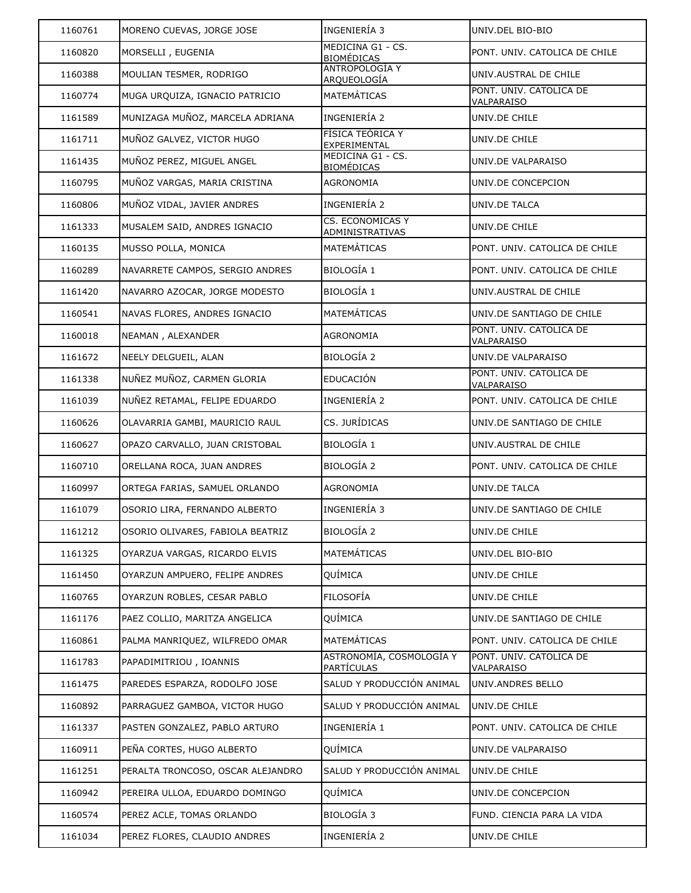| 1160761 | MORENO CUEVAS, JORGE JOSE         | INGENIERÍA 3                                  | UNIV.DEL BIO-BIO                      |
|---------|-----------------------------------|-----------------------------------------------|---------------------------------------|
| 1160820 | MORSELLI, EUGENIA                 | MEDICINA G1 - CS.<br><b>BIOMÉDICAS</b>        | PONT. UNIV. CATOLICA DE CHILE         |
| 1160388 | MOULIAN TESMER, RODRIGO           | ANTROPOLOGÍA Y<br><u>ARQUEOLOGÍA</u>          | UNIV.AUSTRAL DE CHILE                 |
| 1160774 | MUGA URQUIZA, IGNACIO PATRICIO    | MATEMÁTICAS                                   | PONT. UNIV. CATOLICA DE<br>VALPARAISO |
| 1161589 | MUNIZAGA MUÑOZ, MARCELA ADRIANA   | INGENIERÍA 2                                  | UNIV.DE CHILE                         |
| 1161711 | MUÑOZ GALVEZ, VICTOR HUGO         | FÍSICA TEÓRICA Y<br>EXPERIMENTAL              | UNIV.DE CHILE                         |
| 1161435 | MUÑOZ PEREZ, MIGUEL ANGEL         | MEDICINA G1 - CS.<br><b>BIOMÉDICAS</b>        | UNIV.DE VALPARAISO                    |
| 1160795 | MUÑOZ VARGAS, MARIA CRISTINA      | AGRONOMIA                                     | UNIV.DE CONCEPCION                    |
| 1160806 | MUÑOZ VIDAL, JAVIER ANDRES        | INGENIERÍA 2                                  | UNIV.DE TALCA                         |
| 1161333 | MUSALEM SAID, ANDRES IGNACIO      | <b>CS. ECONOMICAS Y</b><br>ADMINISTRATIVAS    | UNIV.DE CHILE                         |
| 1160135 | MUSSO POLLA, MONICA               | MATEMÁTICAS                                   | PONT. UNIV. CATOLICA DE CHILE         |
| 1160289 | NAVARRETE CAMPOS, SERGIO ANDRES   | <b>BIOLOGÍA 1</b>                             | PONT. UNIV. CATOLICA DE CHILE         |
| 1161420 | NAVARRO AZOCAR, JORGE MODESTO     | <b>BIOLOGÍA 1</b>                             | UNIV.AUSTRAL DE CHILE                 |
| 1160541 | NAVAS FLORES, ANDRES IGNACIO      | MATEMÁTICAS                                   | UNIV.DE SANTIAGO DE CHILE             |
| 1160018 | NEAMAN, ALEXANDER                 | <b>AGRONOMIA</b>                              | PONT. UNIV. CATOLICA DE<br>VALPARAISO |
| 1161672 | NEELY DELGUEIL, ALAN              | <b>BIOLOGÍA 2</b>                             | UNIV.DE VALPARAISO                    |
| 1161338 | NUÑEZ MUÑOZ, CARMEN GLORIA        | EDUCACIÓN                                     | PONT. UNIV. CATOLICA DE<br>VALPARAISO |
| 1161039 | NUÑEZ RETAMAL, FELIPE EDUARDO     | INGENIERÍA 2                                  | PONT. UNIV. CATOLICA DE CHILE         |
| 1160626 | OLAVARRIA GAMBI, MAURICIO RAUL    | CS. JURÍDICAS                                 | UNIV.DE SANTIAGO DE CHILE             |
| 1160627 | OPAZO CARVALLO, JUAN CRISTOBAL    | <b>BIOLOGÍA 1</b>                             | UNIV.AUSTRAL DE CHILE                 |
| 1160710 | ORELLANA ROCA, JUAN ANDRES        | <b>BIOLOGÍA 2</b>                             | PONT. UNIV. CATOLICA DE CHILE         |
| 1160997 | ORTEGA FARIAS, SAMUEL ORLANDO     | <b>AGRONOMIA</b>                              | UNIV.DE TALCA                         |
| 1161079 | OSORIO LIRA, FERNANDO ALBERTO     | INGENIERÍA 3                                  | UNIV.DE SANTIAGO DE CHILE             |
| 1161212 | OSORIO OLIVARES, FABIOLA BEATRIZ  | <b>BIOLOGÍA 2</b>                             | UNIV.DE CHILE                         |
| 1161325 | OYARZUA VARGAS, RICARDO ELVIS     | MATEMÁTICAS                                   | UNIV.DEL BIO-BIO                      |
| 1161450 | OYARZUN AMPUERO, FELIPE ANDRES    | QUÍMICA                                       | UNIV.DE CHILE                         |
| 1160765 | OYARZUN ROBLES, CESAR PABLO       | <b>FILOSOFÍA</b>                              | UNIV.DE CHILE                         |
| 1161176 | PAEZ COLLIO, MARITZA ANGELICA     | QUÍMICA                                       | UNIV.DE SANTIAGO DE CHILE             |
| 1160861 | PALMA MANRIQUEZ, WILFREDO OMAR    | MATEMÁTICAS                                   | PONT. UNIV. CATOLICA DE CHILE         |
| 1161783 | PAPADIMITRIOU, IOANNIS            | ASTRONOMÍA, COSMOLOGÍA Y<br><u>PARTÍCULAS</u> | PONT. UNIV. CATOLICA DE<br>VALPARAISO |
| 1161475 | PAREDES ESPARZA, RODOLFO JOSE     | SALUD Y PRODUCCIÓN ANIMAL                     | UNIV.ANDRES BELLO                     |
| 1160892 | PARRAGUEZ GAMBOA, VICTOR HUGO     | SALUD Y PRODUCCIÓN ANIMAL                     | UNIV.DE CHILE                         |
| 1161337 | PASTEN GONZALEZ, PABLO ARTURO     | INGENIERÍA 1                                  | PONT. UNIV. CATOLICA DE CHILE         |
| 1160911 | PEÑA CORTES, HUGO ALBERTO         | QUÍMICA                                       | UNIV.DE VALPARAISO                    |
| 1161251 | PERALTA TRONCOSO, OSCAR ALEJANDRO | SALUD Y PRODUCCIÓN ANIMAL                     | UNIV.DE CHILE                         |
| 1160942 | PEREIRA ULLOA, EDUARDO DOMINGO    | QUÍMICA                                       | UNIV.DE CONCEPCION                    |
| 1160574 | PEREZ ACLE, TOMAS ORLANDO         | <b>BIOLOGÍA 3</b>                             | FUND. CIENCIA PARA LA VIDA            |
| 1161034 | PEREZ FLORES, CLAUDIO ANDRES      | INGENIERÍA 2                                  | UNIV.DE CHILE                         |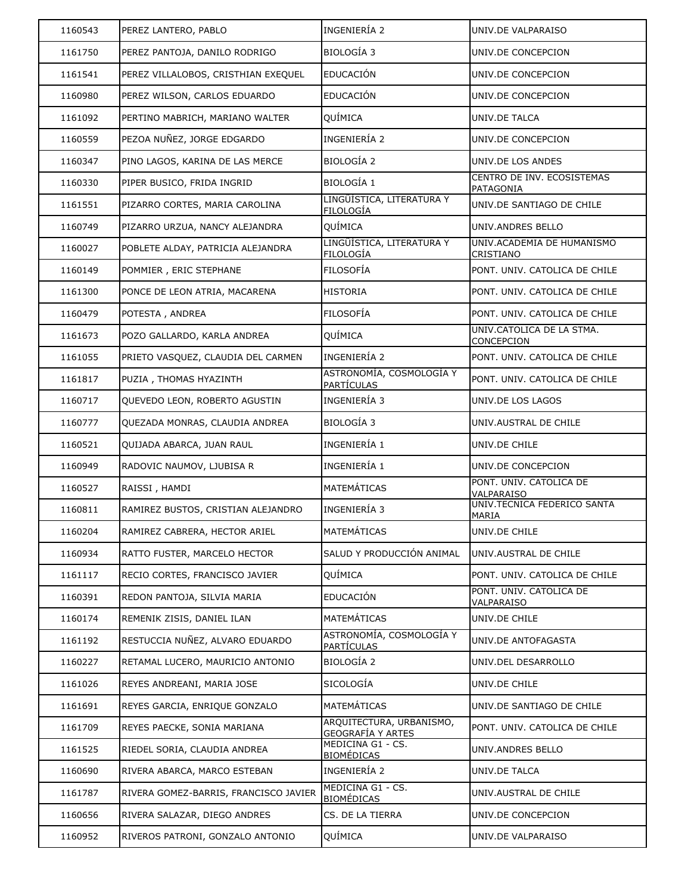| 1160543 | PEREZ LANTERO, PABLO                  | INGENIERÍA 2                                  | UNIV.DE VALPARAISO                             |
|---------|---------------------------------------|-----------------------------------------------|------------------------------------------------|
| 1161750 | PEREZ PANTOJA, DANILO RODRIGO         | <b>BIOLOGÍA 3</b>                             | UNIV.DE CONCEPCION                             |
| 1161541 | PEREZ VILLALOBOS, CRISTHIAN EXEQUEL   | <b>EDUCACIÓN</b>                              | UNIV.DE CONCEPCION                             |
| 1160980 | PEREZ WILSON, CARLOS EDUARDO          | EDUCACIÓN                                     | UNIV.DE CONCEPCION                             |
| 1161092 | PERTINO MABRICH, MARIANO WALTER       | QUÍMICA                                       | UNIV.DE TALCA                                  |
| 1160559 | PEZOA NUÑEZ, JORGE EDGARDO            | INGENIERÍA 2                                  | UNIV.DE CONCEPCION                             |
| 1160347 | PINO LAGOS, KARINA DE LAS MERCE       | <b>BIOLOGÍA 2</b>                             | UNIV.DE LOS ANDES                              |
| 1160330 | PIPER BUSICO, FRIDA INGRID            | <b>BIOLOGÍA 1</b>                             | CENTRO DE INV. ECOSISTEMAS<br><b>PATAGONIA</b> |
| 1161551 | PIZARRO CORTES, MARIA CAROLINA        | LINGÜÍSTICA, LITERATURA Y<br>FILOLOGÍA        | UNIV.DE SANTIAGO DE CHILE                      |
| 1160749 | PIZARRO URZUA, NANCY ALEJANDRA        | QUÍMICA                                       | UNIV.ANDRES BELLO                              |
| 1160027 | POBLETE ALDAY, PATRICIA ALEJANDRA     | LINGÜÍSTICA, LITERATURA Y<br>FILOLOGÍA        | UNIV.ACADEMIA DE HUMANISMO<br>CRISTIANO        |
| 1160149 | POMMIER, ERIC STEPHANE                | FILOSOFÍA                                     | PONT. UNIV. CATOLICA DE CHILE                  |
| 1161300 | PONCE DE LEON ATRIA, MACARENA         | <b>HISTORIA</b>                               | PONT. UNIV. CATOLICA DE CHILE                  |
| 1160479 | POTESTA, ANDREA                       | FILOSOFÍA                                     | PONT. UNIV. CATOLICA DE CHILE                  |
| 1161673 | POZO GALLARDO, KARLA ANDREA           | QUÍMICA                                       | UNIV.CATOLICA DE LA STMA.<br>CONCEPCION        |
| 1161055 | PRIETO VASQUEZ, CLAUDIA DEL CARMEN    | INGENIERÍA 2                                  | PONT. UNIV. CATOLICA DE CHILE                  |
| 1161817 | PUZIA, THOMAS HYAZINTH                | ASTRONOMÍA, COSMOLOGÍA Y<br>PARTÍCULAS        | PONT. UNIV. CATOLICA DE CHILE                  |
| 1160717 | QUEVEDO LEON, ROBERTO AGUSTIN         | INGENIERÍA 3                                  | UNIV.DE LOS LAGOS                              |
| 1160777 | QUEZADA MONRAS, CLAUDIA ANDREA        | <b>BIOLOGÍA 3</b>                             | UNIV.AUSTRAL DE CHILE                          |
| 1160521 | QUIJADA ABARCA, JUAN RAUL             | INGENIERÍA 1                                  | UNIV.DE CHILE                                  |
| 1160949 | RADOVIC NAUMOV, LJUBISA R             | INGENIERÍA 1                                  | UNIV.DE CONCEPCION                             |
| 1160527 | RAISSI, HAMDI                         | <b>MATEMÁTICAS</b>                            | PONT. UNIV. CATOLICA DE<br>VALPARAISO          |
| 1160811 | RAMIREZ BUSTOS, CRISTIAN ALEJANDRO    | <b>INGENIERÍA 3</b>                           | UNIV.TECNICA FEDERICO SANTA<br>MARIA           |
| 1160204 | RAMIREZ CABRERA, HECTOR ARIEL         | <b>MATEMÁTICAS</b>                            | UNIV.DE CHILE                                  |
| 1160934 | RATTO FUSTER, MARCELO HECTOR          | SALUD Y PRODUCCIÓN ANIMAL                     | UNIV.AUSTRAL DE CHILE                          |
| 1161117 | RECIO CORTES, FRANCISCO JAVIER        | QUÍMICA                                       | PONT. UNIV. CATOLICA DE CHILE                  |
| 1160391 | REDON PANTOJA, SILVIA MARIA           | <b>EDUCACIÓN</b>                              | PONT. UNIV. CATOLICA DE<br>VALPARAISO          |
| 1160174 | REMENIK ZISIS, DANIEL ILAN            | MATEMÁTICAS                                   | UNIV.DE CHILE                                  |
| 1161192 | RESTUCCIA NUÑEZ, ALVARO EDUARDO       | ASTRONOMÍA, COSMOLOGÍA Y<br>PARTÍCULAS        | UNIV.DE ANTOFAGASTA                            |
| 1160227 | RETAMAL LUCERO, MAURICIO ANTONIO      | <b>BIOLOGÍA 2</b>                             | UNIV.DEL DESARROLLO                            |
| 1161026 | REYES ANDREANI, MARIA JOSE            | SICOLOGÍA                                     | UNIV.DE CHILE                                  |
| 1161691 | REYES GARCIA, ENRIQUE GONZALO         | MATEMÁTICAS                                   | UNIV.DE SANTIAGO DE CHILE                      |
| 1161709 | REYES PAECKE, SONIA MARIANA           | ARQUITECTURA, URBANISMO,<br>GEOGRAFÍA Y ARTES | PONT. UNIV. CATOLICA DE CHILE                  |
| 1161525 | RIEDEL SORIA, CLAUDIA ANDREA          | MEDICINA G1 - CS.<br><b>BIOMÉDICAS</b>        | UNIV.ANDRES BELLO                              |
| 1160690 | RIVERA ABARCA, MARCO ESTEBAN          | INGENIERÍA 2                                  | UNIV.DE TALCA                                  |
| 1161787 | RIVERA GOMEZ-BARRIS, FRANCISCO JAVIER | MEDICINA G1 - CS.<br><b>BIOMÉDICAS</b>        | UNIV.AUSTRAL DE CHILE                          |
| 1160656 | RIVERA SALAZAR, DIEGO ANDRES          | CS. DE LA TIERRA                              | UNIV.DE CONCEPCION                             |
| 1160952 | RIVEROS PATRONI, GONZALO ANTONIO      | QUÍMICA                                       | UNIV.DE VALPARAISO                             |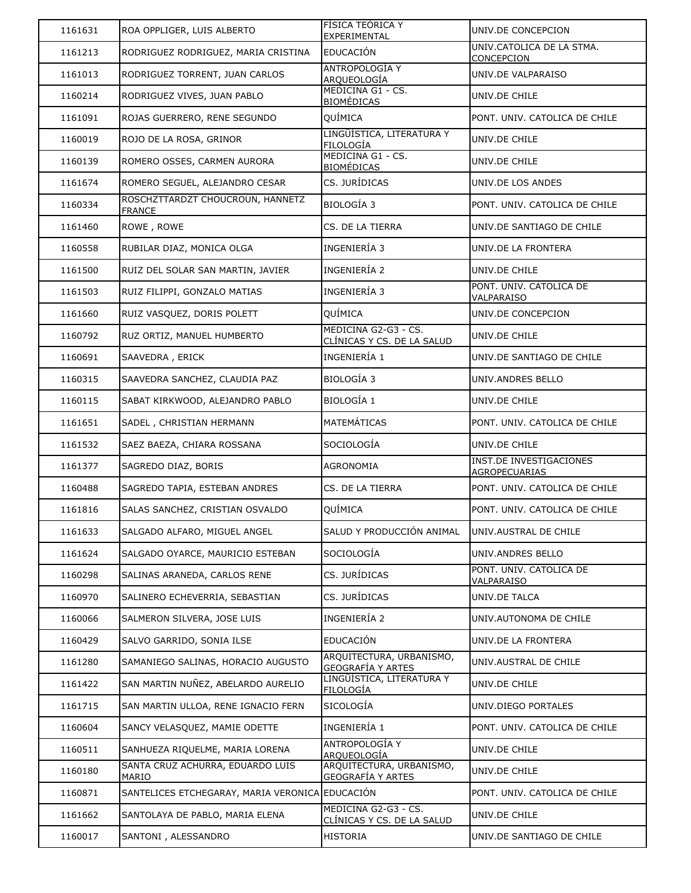| 1161631 | ROA OPPLIGER, LUIS ALBERTO                        | FISICA TEORICA Y<br>EXPERIMENTAL                          | UNIV.DE CONCEPCION                              |
|---------|---------------------------------------------------|-----------------------------------------------------------|-------------------------------------------------|
| 1161213 | RODRIGUEZ RODRIGUEZ, MARIA CRISTINA               | <b>EDUCACIÓN</b>                                          | UNIV.CATOLICA DE LA STMA.<br>CONCEPCION         |
| 1161013 | RODRIGUEZ TORRENT, JUAN CARLOS                    | <b>ANTROPOLOGÍA Y</b><br>ARQUEOLOGÍA                      | UNIV.DE VALPARAISO                              |
| 1160214 | RODRIGUEZ VIVES, JUAN PABLO                       | MEDICINA G1 - CS.<br><b>BIOMÉDICAS</b>                    | UNIV.DE CHILE                                   |
| 1161091 | ROJAS GUERRERO, RENE SEGUNDO                      | QUÍMICA                                                   | PONT. UNIV. CATOLICA DE CHILE                   |
| 1160019 | ROJO DE LA ROSA, GRINOR                           | LINGÜÍSTICA, LITERATURA Y<br>FILOLOGÍA                    | UNIV.DE CHILE                                   |
| 1160139 | ROMERO OSSES, CARMEN AURORA                       | MEDICINA G1 - CS.<br><b>BIOMÉDICAS</b>                    | UNIV.DE CHILE                                   |
| 1161674 | ROMERO SEGUEL, ALEJANDRO CESAR                    | CS. JURÍDICAS                                             | UNIV.DE LOS ANDES                               |
| 1160334 | ROSCHZTTARDZT CHOUCROUN, HANNETZ<br><b>FRANCE</b> | <b>BIOLOGÍA 3</b>                                         | PONT. UNIV. CATOLICA DE CHILE                   |
| 1161460 | ROWE, ROWE                                        | CS. DE LA TIERRA                                          | UNIV.DE SANTIAGO DE CHILE                       |
| 1160558 | RUBILAR DIAZ, MONICA OLGA                         | INGENIERÍA 3                                              | UNIV.DE LA FRONTERA                             |
| 1161500 | RUIZ DEL SOLAR SAN MARTIN, JAVIER                 | INGENIERÍA 2                                              | UNIV.DE CHILE                                   |
| 1161503 | RUIZ FILIPPI, GONZALO MATIAS                      | INGENIERÍA 3                                              | PONT. UNIV. CATOLICA DE<br>VALPARAISO           |
| 1161660 | RUIZ VASQUEZ, DORIS POLETT                        | QUÍMICA                                                   | UNIV.DE CONCEPCION                              |
| 1160792 | RUZ ORTIZ, MANUEL HUMBERTO                        | MEDICINA G2-G3 - CS.<br><u>CLÍNICAS Y CS. DE LA SALUD</u> | UNIV.DE CHILE                                   |
| 1160691 | SAAVEDRA, ERICK                                   | INGENIERÍA 1                                              | UNIV.DE SANTIAGO DE CHILE                       |
| 1160315 | SAAVEDRA SANCHEZ, CLAUDIA PAZ                     | <b>BIOLOGÍA 3</b>                                         | UNIV.ANDRES BELLO                               |
| 1160115 | SABAT KIRKWOOD, ALEJANDRO PABLO                   | <b>BIOLOGÍA 1</b>                                         | UNIV.DE CHILE                                   |
| 1161651 | SADEL, CHRISTIAN HERMANN                          | MATEMÁTICAS                                               | PONT. UNIV. CATOLICA DE CHILE                   |
| 1161532 | SAEZ BAEZA, CHIARA ROSSANA                        | SOCIOLOGÍA                                                | UNIV.DE CHILE                                   |
| 1161377 | SAGREDO DIAZ, BORIS                               | AGRONOMIA                                                 | <b>INST.DE INVESTIGACIONES</b><br>AGROPECUARIAS |
| 1160488 | SAGREDO TAPIA, ESTEBAN ANDRES                     | CS. DE LA TIERRA                                          | PONT. UNIV. CATOLICA DE CHILE                   |
| 1161816 | SALAS SANCHEZ, CRISTIAN OSVALDO                   | QUÍMICA                                                   | PONT. UNIV. CATOLICA DE CHILE                   |
| 1161633 | SALGADO ALFARO, MIGUEL ANGEL                      | SALUD Y PRODUCCIÓN ANIMAL                                 | UNIV.AUSTRAL DE CHILE                           |
| 1161624 | SALGADO OYARCE, MAURICIO ESTEBAN                  | SOCIOLOGÍA                                                | UNIV.ANDRES BELLO                               |
| 1160298 | SALINAS ARANEDA, CARLOS RENE                      | CS. JURÍDICAS                                             | PONT. UNIV. CATOLICA DE<br><b>VALPARAISO</b>    |
| 1160970 | SALINERO ECHEVERRIA, SEBASTIAN                    | CS. JURÍDICAS                                             | UNIV.DE TALCA                                   |
| 1160066 | SALMERON SILVERA, JOSE LUIS                       | INGENIERÍA 2                                              | UNIV.AUTONOMA DE CHILE                          |
| 1160429 | SALVO GARRIDO, SONIA ILSE                         | EDUCACIÓN                                                 | UNIV.DE LA FRONTERA                             |
| 1161280 | SAMANIEGO SALINAS, HORACIO AUGUSTO                | ARQUITECTURA, URBANISMO,<br><b>GEOGRAFÍA Y ARTES</b>      | UNIV.AUSTRAL DE CHILE                           |
| 1161422 | SAN MARTIN NUÑEZ, ABELARDO AURELIO                | LINGÜÍSTICA, LITERATURA Y<br>FILOLOGÍA                    | UNIV.DE CHILE                                   |
| 1161715 | SAN MARTIN ULLOA, RENE IGNACIO FERN               | SICOLOGÍA                                                 | UNIV.DIEGO PORTALES                             |
| 1160604 | SANCY VELASQUEZ, MAMIE ODETTE                     | INGENIERÍA 1                                              | PONT. UNIV. CATOLICA DE CHILE                   |
| 1160511 | SANHUEZA RIQUELME, MARIA LORENA                   | ANTROPOLOGÍA Y<br>ARQUEOLOGÍA                             | UNIV.DE CHILE                                   |
| 1160180 | SANTA CRUZ ACHURRA, EDUARDO LUIS<br>MARIO         | ARQUITECTURA, URBANISMO,<br><u>GEOGRAFÍA Y ARTES</u>      | UNIV.DE CHILE                                   |
| 1160871 | SANTELICES ETCHEGARAY, MARIA VERONICA EDUCACIÓN   |                                                           | PONT. UNIV. CATOLICA DE CHILE                   |
|         |                                                   |                                                           |                                                 |
| 1161662 | SANTOLAYA DE PABLO, MARIA ELENA                   | MEDICINA G2-G3 - CS.<br><u>CLÍNICAS Y CS. DE LA SALUD</u> | UNIV.DE CHILE                                   |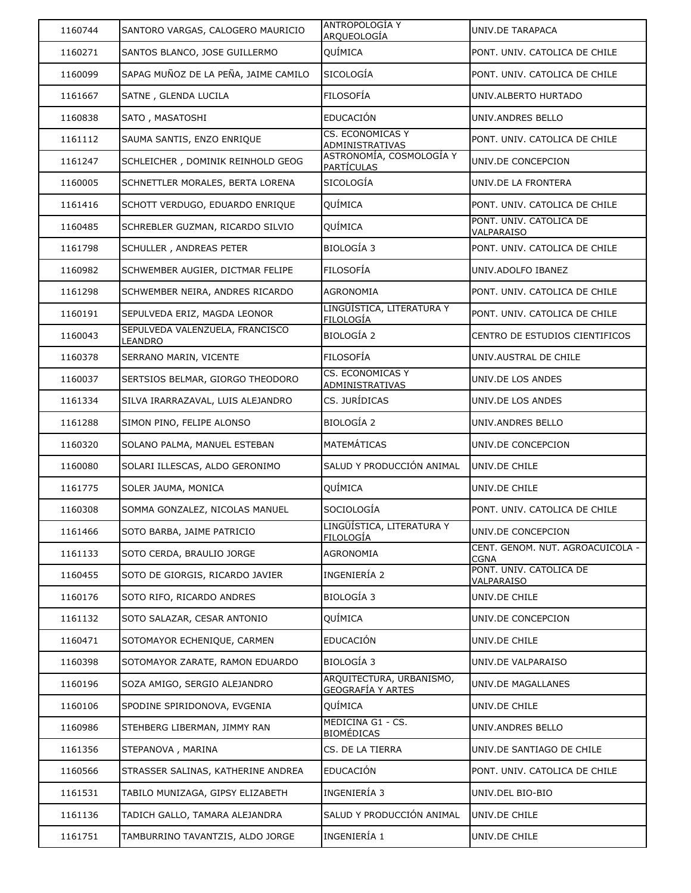| 1160744 | SANTORO VARGAS, CALOGERO MAURICIO          | <b>ANTROPOLOGIA Y</b><br>ARQUEOLOGÍA                 | UNIV.DE TARAPACA                                |
|---------|--------------------------------------------|------------------------------------------------------|-------------------------------------------------|
| 1160271 | SANTOS BLANCO, JOSE GUILLERMO              | QUÍMICA                                              | PONT. UNIV. CATOLICA DE CHILE                   |
| 1160099 | SAPAG MUÑOZ DE LA PEÑA, JAIME CAMILO       | <b>SICOLOGÍA</b>                                     | PONT. UNIV. CATOLICA DE CHILE                   |
| 1161667 | SATNE, GLENDA LUCILA                       | <b>FILOSOFÍA</b>                                     | UNIV.ALBERTO HURTADO                            |
| 1160838 | SATO, MASATOSHI                            | EDUCACIÓN                                            | UNIV.ANDRES BELLO                               |
| 1161112 | SAUMA SANTIS, ENZO ENRIQUE                 | CS. ECONOMICAS Y<br>ADMINISTRATIVAS                  | PONT. UNIV. CATOLICA DE CHILE                   |
| 1161247 | SCHLEICHER, DOMINIK REINHOLD GEOG          | ASTRONOMÍA, COSMOLOGÍA Y<br><b>PARTÍCULAS</b>        | UNIV.DE CONCEPCION                              |
| 1160005 | SCHNETTLER MORALES, BERTA LORENA           | SICOLOGÍA                                            | UNIV.DE LA FRONTERA                             |
| 1161416 | SCHOTT VERDUGO, EDUARDO ENRIQUE            | QUÍMICA                                              | PONT. UNIV. CATOLICA DE CHILE                   |
| 1160485 | SCHREBLER GUZMAN, RICARDO SILVIO           | QUÍMICA                                              | PONT. UNIV. CATOLICA DE<br>VALPARAISO           |
| 1161798 | SCHULLER, ANDREAS PETER                    | <b>BIOLOGÍA 3</b>                                    | PONT. UNIV. CATOLICA DE CHILE                   |
| 1160982 | SCHWEMBER AUGIER, DICTMAR FELIPE           | FILOSOFÍA                                            | UNIV.ADOLFO IBANEZ                              |
| 1161298 | SCHWEMBER NEIRA, ANDRES RICARDO            | <b>AGRONOMIA</b>                                     | PONT. UNIV. CATOLICA DE CHILE                   |
| 1160191 | SEPULVEDA ERIZ, MAGDA LEONOR               | LINGÜÍSTICA, LITERATURA Y<br>FILOLOGÍA               | PONT. UNIV. CATOLICA DE CHILE                   |
| 1160043 | SEPULVEDA VALENZUELA, FRANCISCO<br>LEANDRO | <b>BIOLOGÍA 2</b>                                    | CENTRO DE ESTUDIOS CIENTIFICOS                  |
| 1160378 | SERRANO MARIN, VICENTE                     | <b>FILOSOFÍA</b>                                     | UNIV.AUSTRAL DE CHILE                           |
| 1160037 | SERTSIOS BELMAR, GIORGO THEODORO           | <b>CS. ECONOMICAS Y</b><br>ADMINISTRATIVAS           | UNIV.DE LOS ANDES                               |
| 1161334 | SILVA IRARRAZAVAL, LUIS ALEJANDRO          | CS. JURÍDICAS                                        | UNIV.DE LOS ANDES                               |
| 1161288 | SIMON PINO, FELIPE ALONSO                  | BIOLOGÍA 2                                           | UNIV.ANDRES BELLO                               |
| 1160320 | SOLANO PALMA, MANUEL ESTEBAN               | MATEMÁTICAS                                          | UNIV.DE CONCEPCION                              |
| 1160080 | SOLARI ILLESCAS, ALDO GERONIMO             | SALUD Y PRODUCCIÓN ANIMAL                            | UNIV.DE CHILE                                   |
| 1161775 | SOLER JAUMA, MONICA                        | QUÍMICA                                              | UNIV.DE CHILE                                   |
| 1160308 | SOMMA GONZALEZ, NICOLAS MANUEL             | SOCIOLOGÍA                                           | PONT. UNIV. CATOLICA DE CHILE                   |
| 1161466 | SOTO BARBA, JAIME PATRICIO                 | LINGÜÍSTICA, LITERATURA Y<br>FILOLOGÍA               | UNIV.DE CONCEPCION                              |
| 1161133 | SOTO CERDA, BRAULIO JORGE                  | <b>AGRONOMIA</b>                                     | CENT. GENOM. NUT. AGROACUICOLA -<br><b>CGNA</b> |
| 1160455 | SOTO DE GIORGIS, RICARDO JAVIER            | INGENIERÍA 2                                         | PONT. UNIV. CATOLICA DE<br>VALPARAISO           |
| 1160176 | SOTO RIFO, RICARDO ANDRES                  | <b>BIOLOGÍA 3</b>                                    | UNIV.DE CHILE                                   |
| 1161132 | SOTO SALAZAR, CESAR ANTONIO                | QUÍMICA                                              | UNIV.DE CONCEPCION                              |
| 1160471 | SOTOMAYOR ECHENIQUE, CARMEN                | <b>EDUCACIÓN</b>                                     | UNIV.DE CHILE                                   |
| 1160398 | SOTOMAYOR ZARATE, RAMON EDUARDO            | <b>BIOLOGÍA 3</b>                                    | UNIV.DE VALPARAISO                              |
| 1160196 | SOZA AMIGO, SERGIO ALEJANDRO               | ARQUITECTURA, URBANISMO,<br><u>GEOGRAFÍA Y ARTES</u> | UNIV.DE MAGALLANES                              |
| 1160106 | SPODINE SPIRIDONOVA, EVGENIA               | QUÍMICA                                              | UNIV.DE CHILE                                   |
| 1160986 | STEHBERG LIBERMAN, JIMMY RAN               | MEDICINA G1 - CS.<br><b>BIOMÉDICAS</b>               | UNIV.ANDRES BELLO                               |
| 1161356 | STEPANOVA, MARINA                          | CS. DE LA TIERRA                                     | UNIV.DE SANTIAGO DE CHILE                       |
| 1160566 | STRASSER SALINAS, KATHERINE ANDREA         | <b>EDUCACIÓN</b>                                     | PONT. UNIV. CATOLICA DE CHILE                   |
| 1161531 | TABILO MUNIZAGA, GIPSY ELIZABETH           | INGENIERÍA 3                                         | UNIV.DEL BIO-BIO                                |
| 1161136 | TADICH GALLO, TAMARA ALEJANDRA             | SALUD Y PRODUCCIÓN ANIMAL                            | UNIV.DE CHILE                                   |
| 1161751 | TAMBURRINO TAVANTZIS, ALDO JORGE           | INGENIERÍA 1                                         | UNIV.DE CHILE                                   |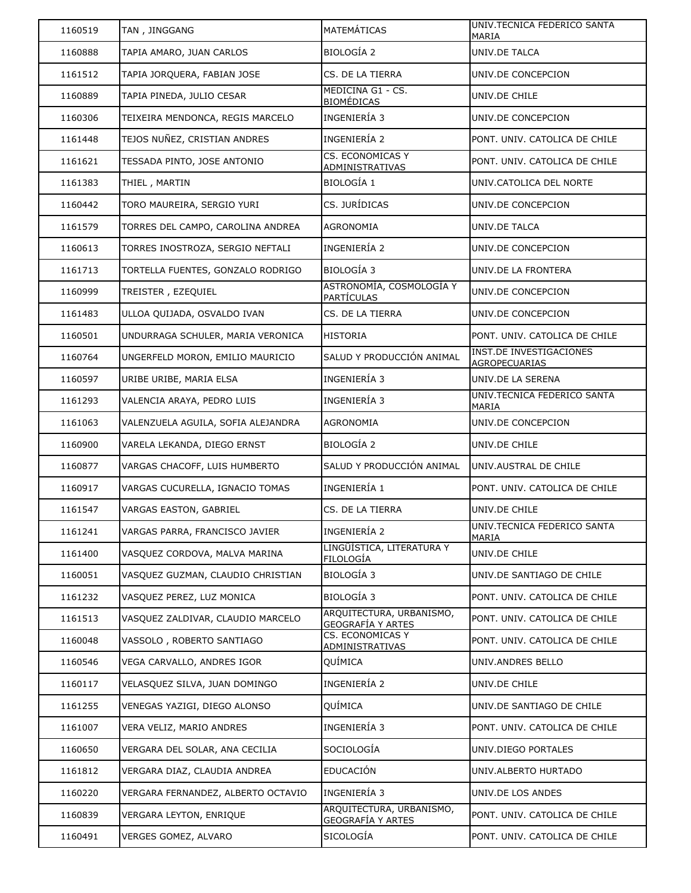| 1160519 | TAN, JINGGANG                      | MATEMÁTICAS                                          | UNIV.TECNICA FEDERICO SANTA<br>MARIA            |
|---------|------------------------------------|------------------------------------------------------|-------------------------------------------------|
| 1160888 | TAPIA AMARO, JUAN CARLOS           | <b>BIOLOGÍA 2</b>                                    | UNIV.DE TALCA                                   |
| 1161512 | TAPIA JORQUERA, FABIAN JOSE        | CS. DE LA TIERRA                                     | UNIV.DE CONCEPCION                              |
| 1160889 | TAPIA PINEDA, JULIO CESAR          | MEDICINA G1 - CS.<br><b>BIOMÉDICAS</b>               | UNIV.DE CHILE                                   |
| 1160306 | TEIXEIRA MENDONCA, REGIS MARCELO   | INGENIERÍA 3                                         | UNIV.DE CONCEPCION                              |
| 1161448 | TEJOS NUÑEZ, CRISTIAN ANDRES       | INGENIERÍA 2                                         | PONT. UNIV. CATOLICA DE CHILE                   |
| 1161621 | TESSADA PINTO, JOSE ANTONIO        | <b>CS. ECONOMICAS Y</b><br>ADMINISTRATIVAS           | PONT. UNIV. CATOLICA DE CHILE                   |
| 1161383 | THIEL, MARTIN                      | BIOLOGÍA 1                                           | UNIV.CATOLICA DEL NORTE                         |
| 1160442 | TORO MAUREIRA, SERGIO YURI         | CS. JURÍDICAS                                        | UNIV.DE CONCEPCION                              |
| 1161579 | TORRES DEL CAMPO, CAROLINA ANDREA  | AGRONOMIA                                            | UNIV.DE TALCA                                   |
| 1160613 | TORRES INOSTROZA, SERGIO NEFTALI   | INGENIERÍA 2                                         | UNIV.DE CONCEPCION                              |
| 1161713 | TORTELLA FUENTES, GONZALO RODRIGO  | <b>BIOLOGÍA 3</b>                                    | UNIV.DE LA FRONTERA                             |
| 1160999 | TREISTER, EZEQUIEL                 | ASTRONOMÍA, COSMOLOGÍA Y<br><b>PARTÍCULAS</b>        | UNIV.DE CONCEPCION                              |
| 1161483 | ULLOA QUIJADA, OSVALDO IVAN        | CS. DE LA TIERRA                                     | UNIV.DE CONCEPCION                              |
| 1160501 | UNDURRAGA SCHULER, MARIA VERONICA  | HISTORIA                                             | PONT. UNIV. CATOLICA DE CHILE                   |
| 1160764 | UNGERFELD MORON, EMILIO MAURICIO   | SALUD Y PRODUCCIÓN ANIMAL                            | INST.DE INVESTIGACIONES<br><b>AGROPECUARIAS</b> |
| 1160597 | URIBE URIBE, MARIA ELSA            | INGENIERÍA 3                                         | UNIV.DE LA SERENA                               |
| 1161293 | VALENCIA ARAYA, PEDRO LUIS         | INGENIERÍA 3                                         | UNIV.TECNICA FEDERICO SANTA<br>MARIA            |
| 1161063 | VALENZUELA AGUILA, SOFIA ALEJANDRA | <b>AGRONOMIA</b>                                     | UNIV.DE CONCEPCION                              |
| 1160900 | VARELA LEKANDA, DIEGO ERNST        | BIOLOGÍA 2                                           | UNIV.DE CHILE                                   |
| 1160877 | VARGAS CHACOFF, LUIS HUMBERTO      | SALUD Y PRODUCCIÓN ANIMAL                            | UNIV.AUSTRAL DE CHILE                           |
| 1160917 | VARGAS CUCURELLA, IGNACIO TOMAS    | INGENIERÍA 1                                         | PONT. UNIV. CATOLICA DE CHILE                   |
| 1161547 | VARGAS EASTON, GABRIEL             | CS. DE LA TIERRA                                     | UNIV.DE CHILE                                   |
| 1161241 | VARGAS PARRA, FRANCISCO JAVIER     | INGENIERÍA 2                                         | UNIV.TECNICA FEDERICO SANTA<br>MARIA            |
| 1161400 | VASQUEZ CORDOVA, MALVA MARINA      | LINGÜÍSTICA, LITERATURA Y<br><b>FILOLOGÍA</b>        | UNIV.DE CHILE                                   |
| 1160051 | VASQUEZ GUZMAN, CLAUDIO CHRISTIAN  | <b>BIOLOGÍA 3</b>                                    | UNIV.DE SANTIAGO DE CHILE                       |
| 1161232 | VASQUEZ PEREZ, LUZ MONICA          | <b>BIOLOGÍA 3</b>                                    | PONT. UNIV. CATOLICA DE CHILE                   |
| 1161513 | VASQUEZ ZALDIVAR, CLAUDIO MARCELO  | ARQUITECTURA, URBANISMO,<br>GEOGRAFÍA Y ARTES        | PONT. UNIV. CATOLICA DE CHILE                   |
| 1160048 | VASSOLO, ROBERTO SANTIAGO          | <b>CS. ECONOMICAS Y</b><br><u>ADMINISTRATIVAS</u>    | PONT. UNIV. CATOLICA DE CHILE                   |
| 1160546 | VEGA CARVALLO, ANDRES IGOR         | QUÍMICA                                              | UNIV.ANDRES BELLO                               |
| 1160117 | VELASQUEZ SILVA, JUAN DOMINGO      | INGENIERÍA 2                                         | UNIV.DE CHILE                                   |
| 1161255 | VENEGAS YAZIGI, DIEGO ALONSO       | QUÍMICA                                              | UNIV.DE SANTIAGO DE CHILE                       |
| 1161007 | VERA VELIZ, MARIO ANDRES           | INGENIERÍA 3                                         | PONT. UNIV. CATOLICA DE CHILE                   |
| 1160650 | VERGARA DEL SOLAR, ANA CECILIA     | SOCIOLOGÍA                                           | UNIV.DIEGO PORTALES                             |
|         |                                    |                                                      |                                                 |
| 1161812 | VERGARA DIAZ, CLAUDIA ANDREA       | EDUCACIÓN                                            | UNIV.ALBERTO HURTADO                            |
| 1160220 | VERGARA FERNANDEZ, ALBERTO OCTAVIO | INGENIERÍA 3                                         | UNIV.DE LOS ANDES                               |
| 1160839 | VERGARA LEYTON, ENRIQUE            | ARQUITECTURA, URBANISMO,<br><u>GEOGRAFÍA Y ARTES</u> | PONT. UNIV. CATOLICA DE CHILE                   |